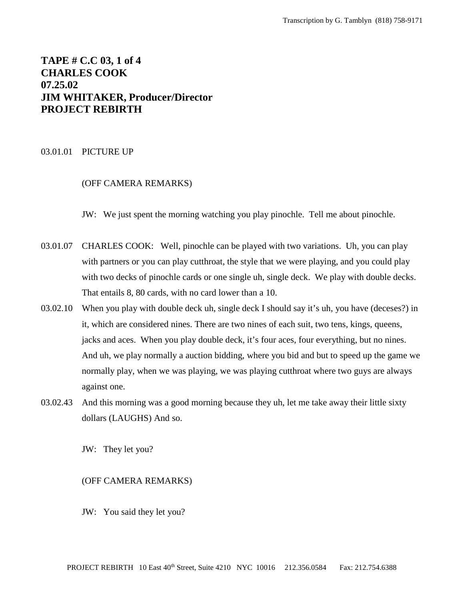# **TAPE # C.C 03, 1 of 4 CHARLES COOK 07.25.02 JIM WHITAKER, Producer/Director PROJECT REBIRTH**

#### 03.01.01 PICTURE UP

# (OFF CAMERA REMARKS)

JW: We just spent the morning watching you play pinochle. Tell me about pinochle.

- 03.01.07 CHARLES COOK: Well, pinochle can be played with two variations. Uh, you can play with partners or you can play cutthroat, the style that we were playing, and you could play with two decks of pinochle cards or one single uh, single deck. We play with double decks. That entails 8, 80 cards, with no card lower than a 10.
- 03.02.10 When you play with double deck uh, single deck I should say it's uh, you have (deceses?) in it, which are considered nines. There are two nines of each suit, two tens, kings, queens, jacks and aces. When you play double deck, it's four aces, four everything, but no nines. And uh, we play normally a auction bidding, where you bid and but to speed up the game we normally play, when we was playing, we was playing cutthroat where two guys are always against one.
- 03.02.43 And this morning was a good morning because they uh, let me take away their little sixty dollars (LAUGHS) And so.

JW: They let you?

#### (OFF CAMERA REMARKS)

JW: You said they let you?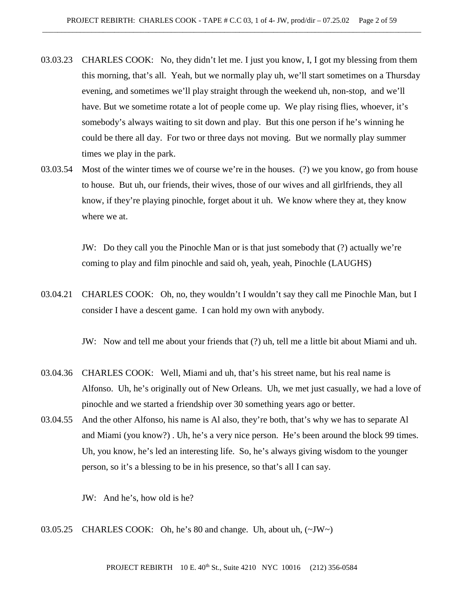- 03.03.23 CHARLES COOK: No, they didn't let me. I just you know, I, I got my blessing from them this morning, that's all. Yeah, but we normally play uh, we'll start sometimes on a Thursday evening, and sometimes we'll play straight through the weekend uh, non-stop, and we'll have. But we sometime rotate a lot of people come up. We play rising flies, whoever, it's somebody's always waiting to sit down and play. But this one person if he's winning he could be there all day. For two or three days not moving. But we normally play summer times we play in the park.
- 03.03.54 Most of the winter times we of course we're in the houses. (?) we you know, go from house to house. But uh, our friends, their wives, those of our wives and all girlfriends, they all know, if they're playing pinochle, forget about it uh. We know where they at, they know where we at.

JW: Do they call you the Pinochle Man or is that just somebody that (?) actually we're coming to play and film pinochle and said oh, yeah, yeah, Pinochle (LAUGHS)

03.04.21 CHARLES COOK: Oh, no, they wouldn't I wouldn't say they call me Pinochle Man, but I consider I have a descent game. I can hold my own with anybody.

JW: Now and tell me about your friends that (?) uh, tell me a little bit about Miami and uh.

- 03.04.36 CHARLES COOK: Well, Miami and uh, that's his street name, but his real name is Alfonso. Uh, he's originally out of New Orleans. Uh, we met just casually, we had a love of pinochle and we started a friendship over 30 something years ago or better.
- 03.04.55 And the other Alfonso, his name is Al also, they're both, that's why we has to separate Al and Miami (you know?) . Uh, he's a very nice person. He's been around the block 99 times. Uh, you know, he's led an interesting life. So, he's always giving wisdom to the younger person, so it's a blessing to be in his presence, so that's all I can say.

JW: And he's, how old is he?

03.05.25 CHARLES COOK: Oh, he's 80 and change. Uh, about uh, (~JW~)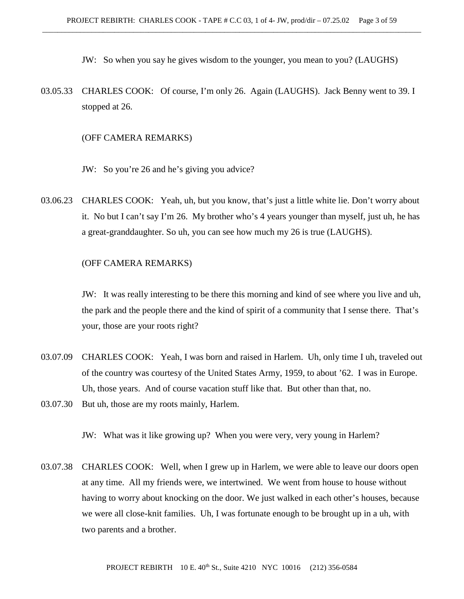JW: So when you say he gives wisdom to the younger, you mean to you? (LAUGHS)

03.05.33 CHARLES COOK: Of course, I'm only 26. Again (LAUGHS). Jack Benny went to 39. I stopped at 26.

#### (OFF CAMERA REMARKS)

- JW: So you're 26 and he's giving you advice?
- 03.06.23 CHARLES COOK: Yeah, uh, but you know, that's just a little white lie. Don't worry about it. No but I can't say I'm 26. My brother who's 4 years younger than myself, just uh, he has a great-granddaughter. So uh, you can see how much my 26 is true (LAUGHS).

## (OFF CAMERA REMARKS)

JW: It was really interesting to be there this morning and kind of see where you live and uh, the park and the people there and the kind of spirit of a community that I sense there. That's your, those are your roots right?

- 03.07.09 CHARLES COOK: Yeah, I was born and raised in Harlem. Uh, only time I uh, traveled out of the country was courtesy of the United States Army, 1959, to about '62. I was in Europe. Uh, those years. And of course vacation stuff like that. But other than that, no.
- 03.07.30 But uh, those are my roots mainly, Harlem.

JW: What was it like growing up? When you were very, very young in Harlem?

03.07.38 CHARLES COOK: Well, when I grew up in Harlem, we were able to leave our doors open at any time. All my friends were, we intertwined. We went from house to house without having to worry about knocking on the door. We just walked in each other's houses, because we were all close-knit families. Uh, I was fortunate enough to be brought up in a uh, with two parents and a brother.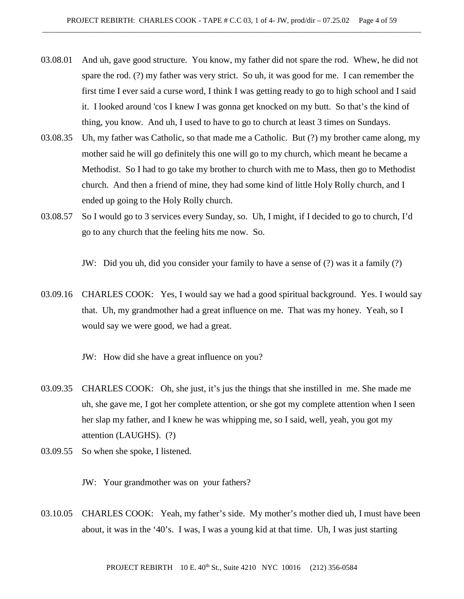- 03.08.01 And uh, gave good structure. You know, my father did not spare the rod. Whew, he did not spare the rod. (?) my father was very strict. So uh, it was good for me. I can remember the first time I ever said a curse word, I think I was getting ready to go to high school and I said it. I looked around 'cos I knew I was gonna get knocked on my butt. So that's the kind of thing, you know. And uh, I used to have to go to church at least 3 times on Sundays.
- 03.08.35 Uh, my father was Catholic, so that made me a Catholic. But (?) my brother came along, my mother said he will go definitely this one will go to my church, which meant he became a Methodist. So I had to go take my brother to church with me to Mass, then go to Methodist church. And then a friend of mine, they had some kind of little Holy Rolly church, and I ended up going to the Holy Rolly church.
- 03.08.57 So I would go to 3 services every Sunday, so. Uh, I might, if I decided to go to church, I'd go to any church that the feeling hits me now. So.

JW: Did you uh, did you consider your family to have a sense of (?) was it a family (?)

03.09.16 CHARLES COOK: Yes, I would say we had a good spiritual background. Yes. I would say that. Uh, my grandmother had a great influence on me. That was my honey. Yeah, so I would say we were good, we had a great.

JW: How did she have a great influence on you?

- 03.09.35 CHARLES COOK: Oh, she just, it's jus the things that she instilled in me. She made me uh, she gave me, I got her complete attention, or she got my complete attention when I seen her slap my father, and I knew he was whipping me, so I said, well, yeah, you got my attention (LAUGHS). (?)
- 03.09.55 So when she spoke, I listened.

JW: Your grandmother was on your fathers?

03.10.05 CHARLES COOK: Yeah, my father's side. My mother's mother died uh, I must have been about, it was in the '40's. I was, I was a young kid at that time. Uh, I was just starting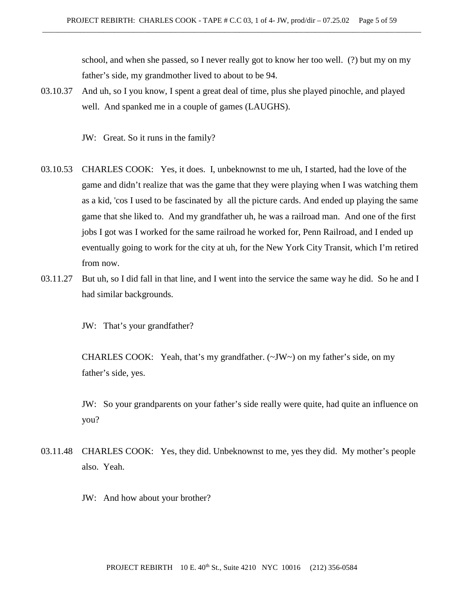school, and when she passed, so I never really got to know her too well. (?) but my on my father's side, my grandmother lived to about to be 94.

- 03.10.37 And uh, so I you know, I spent a great deal of time, plus she played pinochle, and played well. And spanked me in a couple of games (LAUGHS).
	- JW: Great. So it runs in the family?
- 03.10.53 CHARLES COOK: Yes, it does. I, unbeknownst to me uh, I started, had the love of the game and didn't realize that was the game that they were playing when I was watching them as a kid, 'cos I used to be fascinated by all the picture cards. And ended up playing the same game that she liked to. And my grandfather uh, he was a railroad man. And one of the first jobs I got was I worked for the same railroad he worked for, Penn Railroad, and I ended up eventually going to work for the city at uh, for the New York City Transit, which I'm retired from now.
- 03.11.27 But uh, so I did fall in that line, and I went into the service the same way he did. So he and I had similar backgrounds.

JW: That's your grandfather?

CHARLES COOK: Yeah, that's my grandfather. (~JW~) on my father's side, on my father's side, yes.

JW: So your grandparents on your father's side really were quite, had quite an influence on you?

- 03.11.48 CHARLES COOK: Yes, they did. Unbeknownst to me, yes they did. My mother's people also. Yeah.
	- JW: And how about your brother?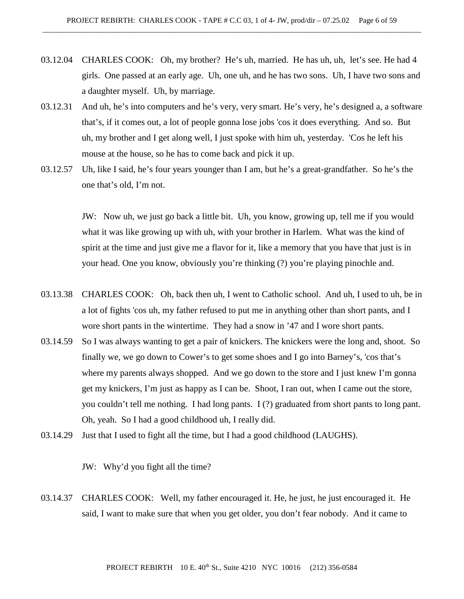- 03.12.04 CHARLES COOK: Oh, my brother? He's uh, married. He has uh, uh, let's see. He had 4 girls. One passed at an early age. Uh, one uh, and he has two sons. Uh, I have two sons and a daughter myself. Uh, by marriage.
- 03.12.31 And uh, he's into computers and he's very, very smart. He's very, he's designed a, a software that's, if it comes out, a lot of people gonna lose jobs 'cos it does everything. And so. But uh, my brother and I get along well, I just spoke with him uh, yesterday. 'Cos he left his mouse at the house, so he has to come back and pick it up.
- 03.12.57 Uh, like I said, he's four years younger than I am, but he's a great-grandfather. So he's the one that's old, I'm not.

JW: Now uh, we just go back a little bit. Uh, you know, growing up, tell me if you would what it was like growing up with uh, with your brother in Harlem. What was the kind of spirit at the time and just give me a flavor for it, like a memory that you have that just is in your head. One you know, obviously you're thinking (?) you're playing pinochle and.

- 03.13.38 CHARLES COOK: Oh, back then uh, I went to Catholic school. And uh, I used to uh, be in a lot of fights 'cos uh, my father refused to put me in anything other than short pants, and I wore short pants in the wintertime. They had a snow in '47 and I wore short pants.
- 03.14.59 So I was always wanting to get a pair of knickers. The knickers were the long and, shoot. So finally we, we go down to Cower's to get some shoes and I go into Barney's, 'cos that's where my parents always shopped. And we go down to the store and I just knew I'm gonna get my knickers, I'm just as happy as I can be. Shoot, I ran out, when I came out the store, you couldn't tell me nothing. I had long pants. I (?) graduated from short pants to long pant. Oh, yeah. So I had a good childhood uh, I really did.
- 03.14.29 Just that I used to fight all the time, but I had a good childhood (LAUGHS).

JW: Why'd you fight all the time?

03.14.37 CHARLES COOK: Well, my father encouraged it. He, he just, he just encouraged it. He said, I want to make sure that when you get older, you don't fear nobody. And it came to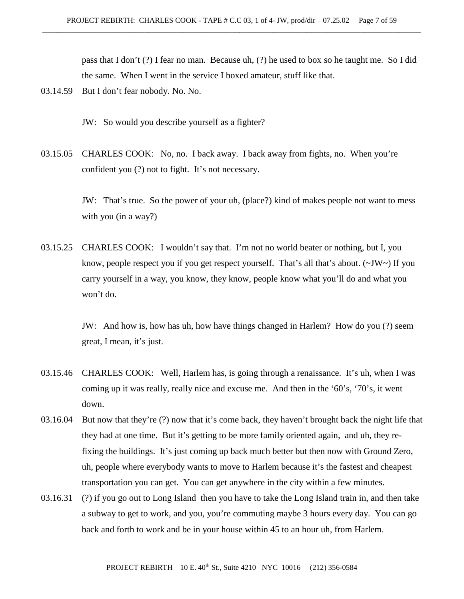pass that I don't (?) I fear no man. Because uh, (?) he used to box so he taught me. So I did the same. When I went in the service I boxed amateur, stuff like that.

03.14.59 But I don't fear nobody. No. No.

JW: So would you describe yourself as a fighter?

03.15.05 CHARLES COOK: No, no. I back away. I back away from fights, no. When you're confident you (?) not to fight. It's not necessary.

> JW: That's true. So the power of your uh, (place?) kind of makes people not want to mess with you (in a way?)

03.15.25 CHARLES COOK: I wouldn't say that. I'm not no world beater or nothing, but I, you know, people respect you if you get respect yourself. That's all that's about. (~JW~) If you carry yourself in a way, you know, they know, people know what you'll do and what you won't do.

> JW: And how is, how has uh, how have things changed in Harlem? How do you (?) seem great, I mean, it's just.

- 03.15.46 CHARLES COOK: Well, Harlem has, is going through a renaissance. It's uh, when I was coming up it was really, really nice and excuse me. And then in the '60's, '70's, it went down.
- 03.16.04 But now that they're (?) now that it's come back, they haven't brought back the night life that they had at one time. But it's getting to be more family oriented again, and uh, they refixing the buildings. It's just coming up back much better but then now with Ground Zero, uh, people where everybody wants to move to Harlem because it's the fastest and cheapest transportation you can get. You can get anywhere in the city within a few minutes.
- 03.16.31 (?) if you go out to Long Island then you have to take the Long Island train in, and then take a subway to get to work, and you, you're commuting maybe 3 hours every day. You can go back and forth to work and be in your house within 45 to an hour uh, from Harlem.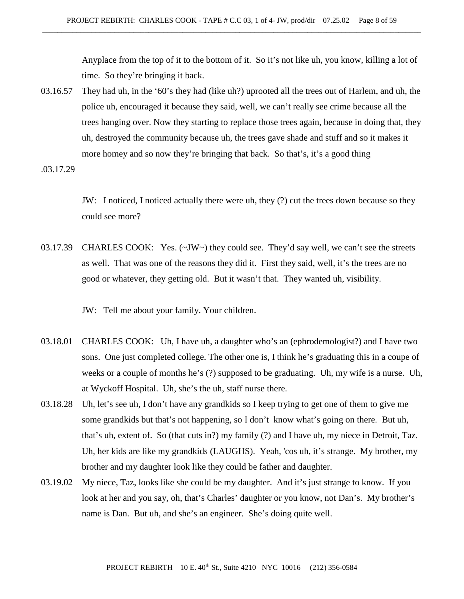Anyplace from the top of it to the bottom of it. So it's not like uh, you know, killing a lot of time. So they're bringing it back.

03.16.57 They had uh, in the '60's they had (like uh?) uprooted all the trees out of Harlem, and uh, the police uh, encouraged it because they said, well, we can't really see crime because all the trees hanging over. Now they starting to replace those trees again, because in doing that, they uh, destroyed the community because uh, the trees gave shade and stuff and so it makes it more homey and so now they're bringing that back. So that's, it's a good thing

.03.17.29

JW: I noticed, I noticed actually there were uh, they (?) cut the trees down because so they could see more?

03.17.39 CHARLES COOK: Yes. (~JW~) they could see. They'd say well, we can't see the streets as well. That was one of the reasons they did it. First they said, well, it's the trees are no good or whatever, they getting old. But it wasn't that. They wanted uh, visibility.

JW: Tell me about your family. Your children.

- 03.18.01 CHARLES COOK: Uh, I have uh, a daughter who's an (ephrodemologist?) and I have two sons. One just completed college. The other one is, I think he's graduating this in a coupe of weeks or a couple of months he's (?) supposed to be graduating. Uh, my wife is a nurse. Uh, at Wyckoff Hospital. Uh, she's the uh, staff nurse there.
- 03.18.28 Uh, let's see uh, I don't have any grandkids so I keep trying to get one of them to give me some grandkids but that's not happening, so I don't know what's going on there. But uh, that's uh, extent of. So (that cuts in?) my family (?) and I have uh, my niece in Detroit, Taz. Uh, her kids are like my grandkids (LAUGHS). Yeah, 'cos uh, it's strange. My brother, my brother and my daughter look like they could be father and daughter.
- 03.19.02 My niece, Taz, looks like she could be my daughter. And it's just strange to know. If you look at her and you say, oh, that's Charles' daughter or you know, not Dan's. My brother's name is Dan. But uh, and she's an engineer. She's doing quite well.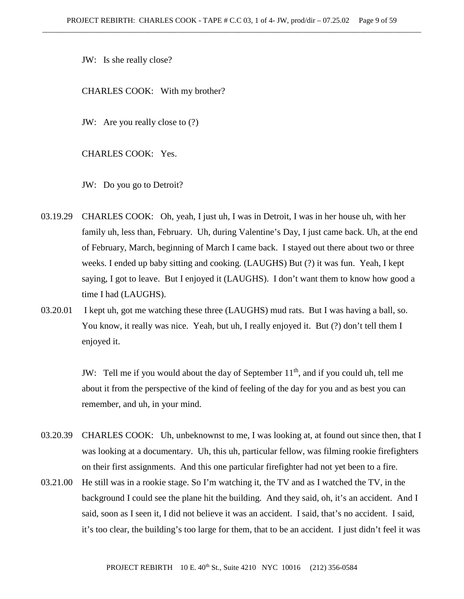JW: Is she really close?

CHARLES COOK: With my brother?

JW: Are you really close to (?)

CHARLES COOK: Yes.

JW: Do you go to Detroit?

- 03.19.29 CHARLES COOK: Oh, yeah, I just uh, I was in Detroit, I was in her house uh, with her family uh, less than, February. Uh, during Valentine's Day, I just came back. Uh, at the end of February, March, beginning of March I came back. I stayed out there about two or three weeks. I ended up baby sitting and cooking. (LAUGHS) But (?) it was fun. Yeah, I kept saying, I got to leave. But I enjoyed it (LAUGHS). I don't want them to know how good a time I had (LAUGHS).
- 03.20.01 I kept uh, got me watching these three (LAUGHS) mud rats. But I was having a ball, so. You know, it really was nice. Yeah, but uh, I really enjoyed it. But (?) don't tell them I enjoyed it.

JW: Tell me if you would about the day of September  $11<sup>th</sup>$ , and if you could uh, tell me about it from the perspective of the kind of feeling of the day for you and as best you can remember, and uh, in your mind.

- 03.20.39 CHARLES COOK: Uh, unbeknownst to me, I was looking at, at found out since then, that I was looking at a documentary. Uh, this uh, particular fellow, was filming rookie firefighters on their first assignments. And this one particular firefighter had not yet been to a fire.
- 03.21.00 He still was in a rookie stage. So I'm watching it, the TV and as I watched the TV, in the background I could see the plane hit the building. And they said, oh, it's an accident. And I said, soon as I seen it, I did not believe it was an accident. I said, that's no accident. I said, it's too clear, the building's too large for them, that to be an accident. I just didn't feel it was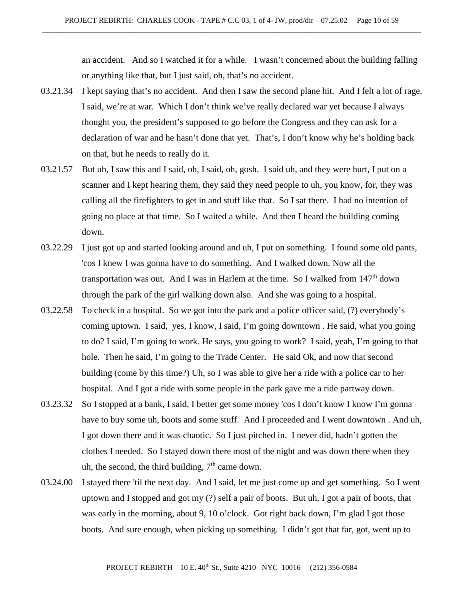an accident. And so I watched it for a while. I wasn't concerned about the building falling or anything like that, but I just said, oh, that's no accident.

- 03.21.34 I kept saying that's no accident. And then I saw the second plane hit. And I felt a lot of rage. I said, we're at war. Which I don't think we've really declared war yet because I always thought you, the president's supposed to go before the Congress and they can ask for a declaration of war and he hasn't done that yet. That's, I don't know why he's holding back on that, but he needs to really do it.
- 03.21.57 But uh, I saw this and I said, oh, I said, oh, gosh. I said uh, and they were hurt, I put on a scanner and I kept hearing them, they said they need people to uh, you know, for, they was calling all the firefighters to get in and stuff like that. So I sat there. I had no intention of going no place at that time. So I waited a while. And then I heard the building coming down.
- 03.22.29 I just got up and started looking around and uh, I put on something. I found some old pants, 'cos I knew I was gonna have to do something. And I walked down. Now all the transportation was out. And I was in Harlem at the time. So I walked from  $147<sup>th</sup>$  down through the park of the girl walking down also. And she was going to a hospital.
- 03.22.58 To check in a hospital. So we got into the park and a police officer said, (?) everybody's coming uptown. I said, yes, I know, I said, I'm going downtown . He said, what you going to do? I said, I'm going to work. He says, you going to work? I said, yeah, I'm going to that hole. Then he said, I'm going to the Trade Center. He said Ok, and now that second building (come by this time?) Uh, so I was able to give her a ride with a police car to her hospital. And I got a ride with some people in the park gave me a ride partway down.
- 03.23.32 So I stopped at a bank, I said, I better get some money 'cos I don't know I know I'm gonna have to buy some uh, boots and some stuff. And I proceeded and I went downtown . And uh, I got down there and it was chaotic. So I just pitched in. I never did, hadn't gotten the clothes I needed. So I stayed down there most of the night and was down there when they uh, the second, the third building,  $7<sup>th</sup>$  came down.
- 03.24.00 I stayed there 'til the next day. And I said, let me just come up and get something. So I went uptown and I stopped and got my (?) self a pair of boots. But uh, I got a pair of boots, that was early in the morning, about 9, 10 o'clock. Got right back down, I'm glad I got those boots. And sure enough, when picking up something. I didn't got that far, got, went up to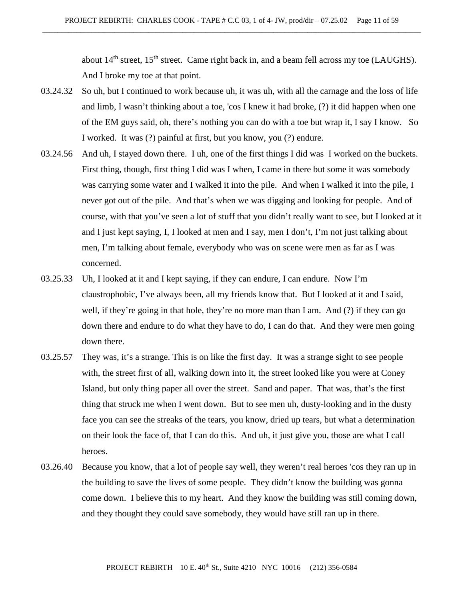about  $14<sup>th</sup>$  street,  $15<sup>th</sup>$  street. Came right back in, and a beam fell across my toe (LAUGHS). And I broke my toe at that point.

- 03.24.32 So uh, but I continued to work because uh, it was uh, with all the carnage and the loss of life and limb, I wasn't thinking about a toe, 'cos I knew it had broke, (?) it did happen when one of the EM guys said, oh, there's nothing you can do with a toe but wrap it, I say I know. So I worked. It was (?) painful at first, but you know, you (?) endure.
- 03.24.56 And uh, I stayed down there. I uh, one of the first things I did was I worked on the buckets. First thing, though, first thing I did was I when, I came in there but some it was somebody was carrying some water and I walked it into the pile. And when I walked it into the pile, I never got out of the pile. And that's when we was digging and looking for people. And of course, with that you've seen a lot of stuff that you didn't really want to see, but I looked at it and I just kept saying, I, I looked at men and I say, men I don't, I'm not just talking about men, I'm talking about female, everybody who was on scene were men as far as I was concerned.
- 03.25.33 Uh, I looked at it and I kept saying, if they can endure, I can endure. Now I'm claustrophobic, I've always been, all my friends know that. But I looked at it and I said, well, if they're going in that hole, they're no more man than I am. And (?) if they can go down there and endure to do what they have to do, I can do that. And they were men going down there.
- 03.25.57 They was, it's a strange. This is on like the first day. It was a strange sight to see people with, the street first of all, walking down into it, the street looked like you were at Coney Island, but only thing paper all over the street. Sand and paper. That was, that's the first thing that struck me when I went down. But to see men uh, dusty-looking and in the dusty face you can see the streaks of the tears, you know, dried up tears, but what a determination on their look the face of, that I can do this. And uh, it just give you, those are what I call heroes.
- 03.26.40 Because you know, that a lot of people say well, they weren't real heroes 'cos they ran up in the building to save the lives of some people. They didn't know the building was gonna come down. I believe this to my heart. And they know the building was still coming down, and they thought they could save somebody, they would have still ran up in there.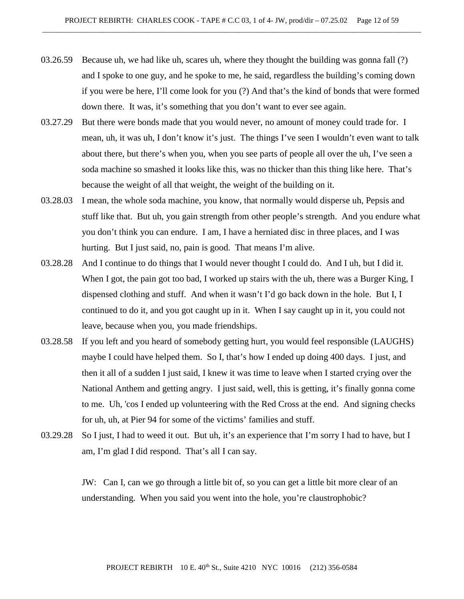- 03.26.59 Because uh, we had like uh, scares uh, where they thought the building was gonna fall (?) and I spoke to one guy, and he spoke to me, he said, regardless the building's coming down if you were be here, I'll come look for you (?) And that's the kind of bonds that were formed down there. It was, it's something that you don't want to ever see again.
- 03.27.29 But there were bonds made that you would never, no amount of money could trade for. I mean, uh, it was uh, I don't know it's just. The things I've seen I wouldn't even want to talk about there, but there's when you, when you see parts of people all over the uh, I've seen a soda machine so smashed it looks like this, was no thicker than this thing like here. That's because the weight of all that weight, the weight of the building on it.
- 03.28.03 I mean, the whole soda machine, you know, that normally would disperse uh, Pepsis and stuff like that. But uh, you gain strength from other people's strength. And you endure what you don't think you can endure. I am, I have a herniated disc in three places, and I was hurting. But I just said, no, pain is good. That means I'm alive.
- 03.28.28 And I continue to do things that I would never thought I could do. And I uh, but I did it. When I got, the pain got too bad, I worked up stairs with the uh, there was a Burger King, I dispensed clothing and stuff. And when it wasn't I'd go back down in the hole. But I, I continued to do it, and you got caught up in it. When I say caught up in it, you could not leave, because when you, you made friendships.
- 03.28.58 If you left and you heard of somebody getting hurt, you would feel responsible (LAUGHS) maybe I could have helped them. So I, that's how I ended up doing 400 days. I just, and then it all of a sudden I just said, I knew it was time to leave when I started crying over the National Anthem and getting angry. I just said, well, this is getting, it's finally gonna come to me. Uh, 'cos I ended up volunteering with the Red Cross at the end. And signing checks for uh, uh, at Pier 94 for some of the victims' families and stuff.
- 03.29.28 So I just, I had to weed it out. But uh, it's an experience that I'm sorry I had to have, but I am, I'm glad I did respond. That's all I can say.

JW: Can I, can we go through a little bit of, so you can get a little bit more clear of an understanding. When you said you went into the hole, you're claustrophobic?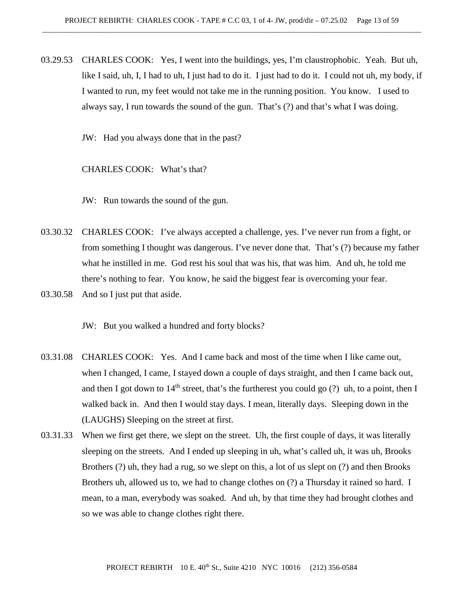03.29.53 CHARLES COOK: Yes, I went into the buildings, yes, I'm claustrophobic. Yeah. But uh, like I said, uh, I, I had to uh, I just had to do it. I just had to do it. I could not uh, my body, if I wanted to run, my feet would not take me in the running position. You know. I used to always say, I run towards the sound of the gun. That's (?) and that's what I was doing.

JW: Had you always done that in the past?

CHARLES COOK: What's that?

JW: Run towards the sound of the gun.

- 03.30.32 CHARLES COOK: I've always accepted a challenge, yes. I've never run from a fight, or from something I thought was dangerous. I've never done that. That's (?) because my father what he instilled in me. God rest his soul that was his, that was him. And uh, he told me there's nothing to fear. You know, he said the biggest fear is overcoming your fear.
- 03.30.58 And so I just put that aside.

JW: But you walked a hundred and forty blocks?

- 03.31.08 CHARLES COOK: Yes. And I came back and most of the time when I like came out, when I changed, I came, I stayed down a couple of days straight, and then I came back out, and then I got down to  $14<sup>th</sup>$  street, that's the furtherest you could go (?) uh, to a point, then I walked back in. And then I would stay days. I mean, literally days. Sleeping down in the (LAUGHS) Sleeping on the street at first.
- 03.31.33 When we first get there, we slept on the street. Uh, the first couple of days, it was literally sleeping on the streets. And I ended up sleeping in uh, what's called uh, it was uh, Brooks Brothers (?) uh, they had a rug, so we slept on this, a lot of us slept on (?) and then Brooks Brothers uh, allowed us to, we had to change clothes on (?) a Thursday it rained so hard. I mean, to a man, everybody was soaked. And uh, by that time they had brought clothes and so we was able to change clothes right there.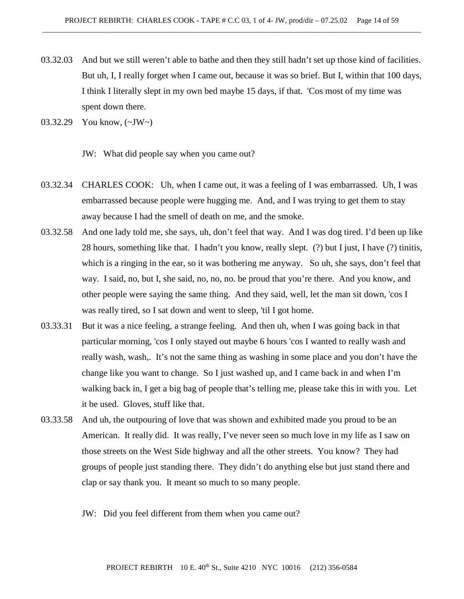- 03.32.03 And but we still weren't able to bathe and then they still hadn't set up those kind of facilities. But uh, I, I really forget when I came out, because it was so brief. But I, within that 100 days, I think I literally slept in my own bed maybe 15 days, if that. 'Cos most of my time was spent down there.
- 03.32.29 You know, (~JW~)

JW: What did people say when you came out?

- 03.32.34 CHARLES COOK: Uh, when I came out, it was a feeling of I was embarrassed. Uh, I was embarrassed because people were hugging me. And, and I was trying to get them to stay away because I had the smell of death on me, and the smoke.
- 03.32.58 And one lady told me, she says, uh, don't feel that way. And I was dog tired. I'd been up like 28 hours, something like that. I hadn't you know, really slept. (?) but I just, I have (?) tinitis, which is a ringing in the ear, so it was bothering me anyway. So uh, she says, don't feel that way. I said, no, but I, she said, no, no, no. be proud that you're there. And you know, and other people were saying the same thing. And they said, well, let the man sit down, 'cos I was really tired, so I sat down and went to sleep, 'til I got home.
- 03.33.31 But it was a nice feeling, a strange feeling. And then uh, when I was going back in that particular morning, 'cos I only stayed out maybe 6 hours 'cos I wanted to really wash and really wash, wash,. It's not the same thing as washing in some place and you don't have the change like you want to change. So I just washed up, and I came back in and when I'm walking back in, I get a big bag of people that's telling me, please take this in with you. Let it be used. Gloves, stuff like that.
- 03.33.58 And uh, the outpouring of love that was shown and exhibited made you proud to be an American. It really did. It was really, I've never seen so much love in my life as I saw on those streets on the West Side highway and all the other streets. You know? They had groups of people just standing there. They didn't do anything else but just stand there and clap or say thank you. It meant so much to so many people.
	- JW: Did you feel different from them when you came out?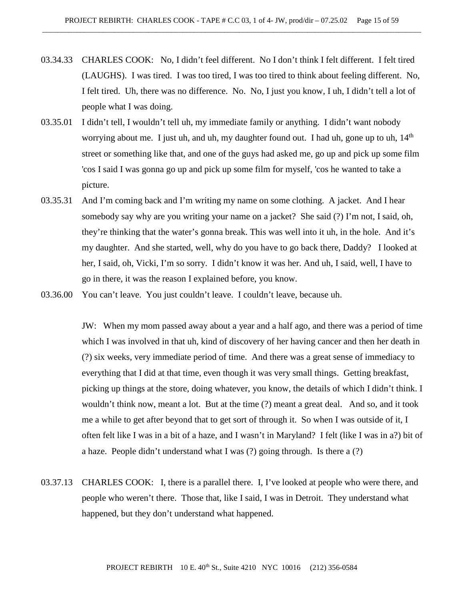- 03.34.33 CHARLES COOK: No, I didn't feel different. No I don't think I felt different. I felt tired (LAUGHS). I was tired. I was too tired, I was too tired to think about feeling different. No, I felt tired. Uh, there was no difference. No. No, I just you know, I uh, I didn't tell a lot of people what I was doing.
- 03.35.01 I didn't tell, I wouldn't tell uh, my immediate family or anything. I didn't want nobody worrying about me. I just uh, and uh, my daughter found out. I had uh, gone up to uh,  $14<sup>th</sup>$ street or something like that, and one of the guys had asked me, go up and pick up some film 'cos I said I was gonna go up and pick up some film for myself, 'cos he wanted to take a picture.
- 03.35.31 And I'm coming back and I'm writing my name on some clothing. A jacket. And I hear somebody say why are you writing your name on a jacket? She said (?) I'm not, I said, oh, they're thinking that the water's gonna break. This was well into it uh, in the hole. And it's my daughter. And she started, well, why do you have to go back there, Daddy? I looked at her, I said, oh, Vicki, I'm so sorry. I didn't know it was her. And uh, I said, well, I have to go in there, it was the reason I explained before, you know.
- 03.36.00 You can't leave. You just couldn't leave. I couldn't leave, because uh.

JW: When my mom passed away about a year and a half ago, and there was a period of time which I was involved in that uh, kind of discovery of her having cancer and then her death in (?) six weeks, very immediate period of time. And there was a great sense of immediacy to everything that I did at that time, even though it was very small things. Getting breakfast, picking up things at the store, doing whatever, you know, the details of which I didn't think. I wouldn't think now, meant a lot. But at the time (?) meant a great deal. And so, and it took me a while to get after beyond that to get sort of through it. So when I was outside of it, I often felt like I was in a bit of a haze, and I wasn't in Maryland? I felt (like I was in a?) bit of a haze. People didn't understand what I was (?) going through. Is there a (?)

03.37.13 CHARLES COOK: I, there is a parallel there. I, I've looked at people who were there, and people who weren't there. Those that, like I said, I was in Detroit. They understand what happened, but they don't understand what happened.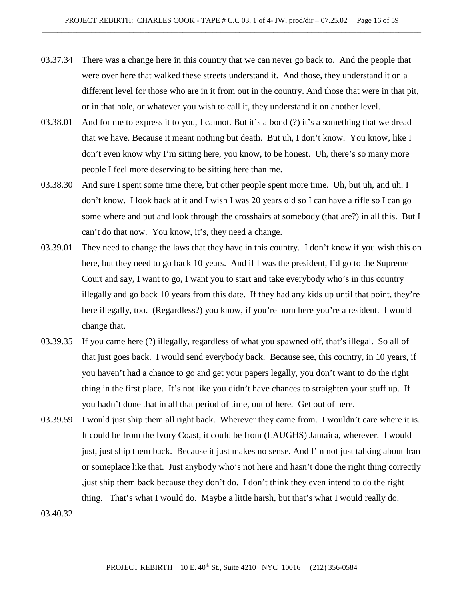- 03.37.34 There was a change here in this country that we can never go back to. And the people that were over here that walked these streets understand it. And those, they understand it on a different level for those who are in it from out in the country. And those that were in that pit, or in that hole, or whatever you wish to call it, they understand it on another level.
- 03.38.01 And for me to express it to you, I cannot. But it's a bond (?) it's a something that we dread that we have. Because it meant nothing but death. But uh, I don't know. You know, like I don't even know why I'm sitting here, you know, to be honest. Uh, there's so many more people I feel more deserving to be sitting here than me.
- 03.38.30 And sure I spent some time there, but other people spent more time. Uh, but uh, and uh. I don't know. I look back at it and I wish I was 20 years old so I can have a rifle so I can go some where and put and look through the crosshairs at somebody (that are?) in all this. But I can't do that now. You know, it's, they need a change.
- 03.39.01 They need to change the laws that they have in this country. I don't know if you wish this on here, but they need to go back 10 years. And if I was the president, I'd go to the Supreme Court and say, I want to go, I want you to start and take everybody who's in this country illegally and go back 10 years from this date. If they had any kids up until that point, they're here illegally, too. (Regardless?) you know, if you're born here you're a resident. I would change that.
- 03.39.35 If you came here (?) illegally, regardless of what you spawned off, that's illegal. So all of that just goes back. I would send everybody back. Because see, this country, in 10 years, if you haven't had a chance to go and get your papers legally, you don't want to do the right thing in the first place. It's not like you didn't have chances to straighten your stuff up. If you hadn't done that in all that period of time, out of here. Get out of here.
- 03.39.59 I would just ship them all right back. Wherever they came from. I wouldn't care where it is. It could be from the Ivory Coast, it could be from (LAUGHS) Jamaica, wherever. I would just, just ship them back. Because it just makes no sense. And I'm not just talking about Iran or someplace like that. Just anybody who's not here and hasn't done the right thing correctly ,just ship them back because they don't do. I don't think they even intend to do the right thing. That's what I would do. Maybe a little harsh, but that's what I would really do.

03.40.32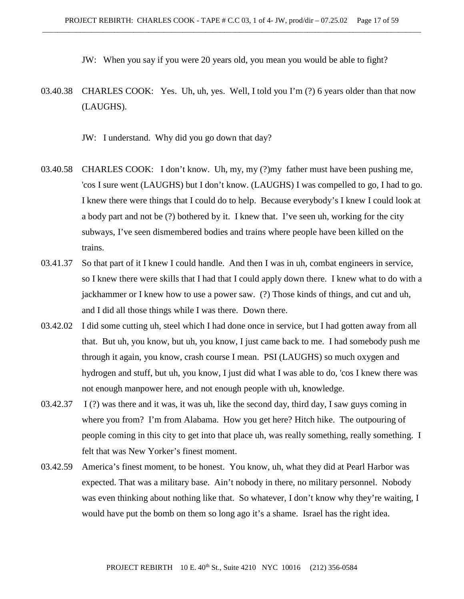JW: When you say if you were 20 years old, you mean you would be able to fight?

- 03.40.38 CHARLES COOK: Yes. Uh, uh, yes. Well, I told you I'm (?) 6 years older than that now (LAUGHS).
	- JW: I understand. Why did you go down that day?
- 03.40.58 CHARLES COOK: I don't know. Uh, my, my (?)my father must have been pushing me, 'cos I sure went (LAUGHS) but I don't know. (LAUGHS) I was compelled to go, I had to go. I knew there were things that I could do to help. Because everybody's I knew I could look at a body part and not be (?) bothered by it. I knew that. I've seen uh, working for the city subways, I've seen dismembered bodies and trains where people have been killed on the trains.
- 03.41.37 So that part of it I knew I could handle. And then I was in uh, combat engineers in service, so I knew there were skills that I had that I could apply down there. I knew what to do with a jackhammer or I knew how to use a power saw. (?) Those kinds of things, and cut and uh, and I did all those things while I was there. Down there.
- 03.42.02 I did some cutting uh, steel which I had done once in service, but I had gotten away from all that. But uh, you know, but uh, you know, I just came back to me. I had somebody push me through it again, you know, crash course I mean. PSI (LAUGHS) so much oxygen and hydrogen and stuff, but uh, you know, I just did what I was able to do, 'cos I knew there was not enough manpower here, and not enough people with uh, knowledge.
- 03.42.37 I (?) was there and it was, it was uh, like the second day, third day, I saw guys coming in where you from? I'm from Alabama. How you get here? Hitch hike. The outpouring of people coming in this city to get into that place uh, was really something, really something. I felt that was New Yorker's finest moment.
- 03.42.59 America's finest moment, to be honest. You know, uh, what they did at Pearl Harbor was expected. That was a military base. Ain't nobody in there, no military personnel. Nobody was even thinking about nothing like that. So whatever, I don't know why they're waiting, I would have put the bomb on them so long ago it's a shame. Israel has the right idea.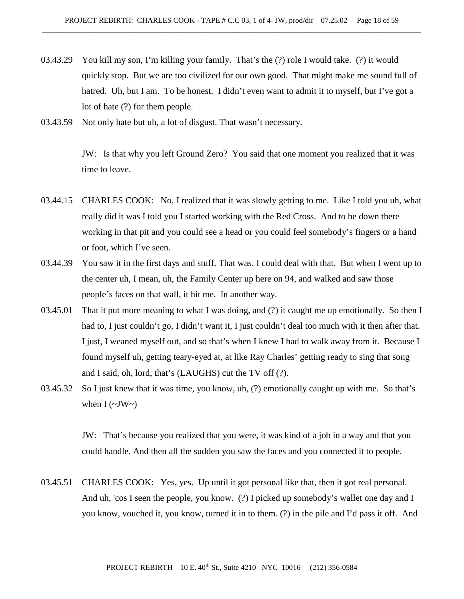- 03.43.29 You kill my son, I'm killing your family. That's the (?) role I would take. (?) it would quickly stop. But we are too civilized for our own good. That might make me sound full of hatred. Uh, but I am. To be honest. I didn't even want to admit it to myself, but I've got a lot of hate (?) for them people.
- 03.43.59 Not only hate but uh, a lot of disgust. That wasn't necessary.

JW: Is that why you left Ground Zero? You said that one moment you realized that it was time to leave.

- 03.44.15 CHARLES COOK: No, I realized that it was slowly getting to me. Like I told you uh, what really did it was I told you I started working with the Red Cross. And to be down there working in that pit and you could see a head or you could feel somebody's fingers or a hand or foot, which I've seen.
- 03.44.39 You saw it in the first days and stuff. That was, I could deal with that. But when I went up to the center uh, I mean, uh, the Family Center up here on 94, and walked and saw those people's faces on that wall, it hit me. In another way.
- 03.45.01 That it put more meaning to what I was doing, and (?) it caught me up emotionally. So then I had to, I just couldn't go, I didn't want it, I just couldn't deal too much with it then after that. I just, I weaned myself out, and so that's when I knew I had to walk away from it. Because I found myself uh, getting teary-eyed at, at like Ray Charles' getting ready to sing that song and I said, oh, lord, that's (LAUGHS) cut the TV off (?).
- 03.45.32 So I just knew that it was time, you know, uh, (?) emotionally caught up with me. So that's when  $I(\sim JW \sim)$

JW: That's because you realized that you were, it was kind of a job in a way and that you could handle. And then all the sudden you saw the faces and you connected it to people.

03.45.51 CHARLES COOK: Yes, yes. Up until it got personal like that, then it got real personal. And uh, 'cos I seen the people, you know. (?) I picked up somebody's wallet one day and I you know, vouched it, you know, turned it in to them. (?) in the pile and I'd pass it off. And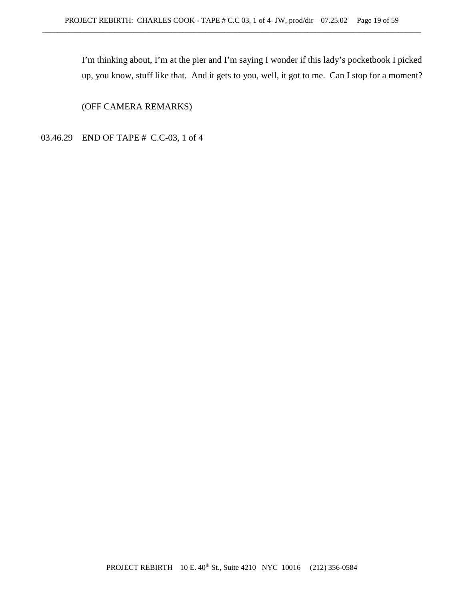I'm thinking about, I'm at the pier and I'm saying I wonder if this lady's pocketbook I picked up, you know, stuff like that. And it gets to you, well, it got to me. Can I stop for a moment?

(OFF CAMERA REMARKS)

03.46.29 END OF TAPE # C.C-03, 1 of 4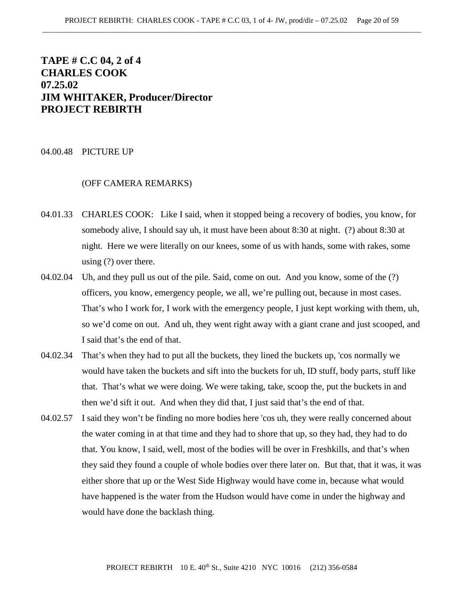# **TAPE # C.C 04, 2 of 4 CHARLES COOK 07.25.02 JIM WHITAKER, Producer/Director PROJECT REBIRTH**

#### 04.00.48 PICTURE UP

## (OFF CAMERA REMARKS)

- 04.01.33 CHARLES COOK: Like I said, when it stopped being a recovery of bodies, you know, for somebody alive, I should say uh, it must have been about 8:30 at night. (?) about 8:30 at night. Here we were literally on our knees, some of us with hands, some with rakes, some using (?) over there.
- 04.02.04 Uh, and they pull us out of the pile. Said, come on out. And you know, some of the (?) officers, you know, emergency people, we all, we're pulling out, because in most cases. That's who I work for, I work with the emergency people, I just kept working with them, uh, so we'd come on out. And uh, they went right away with a giant crane and just scooped, and I said that's the end of that.
- 04.02.34 That's when they had to put all the buckets, they lined the buckets up, 'cos normally we would have taken the buckets and sift into the buckets for uh, ID stuff, body parts, stuff like that. That's what we were doing. We were taking, take, scoop the, put the buckets in and then we'd sift it out. And when they did that, I just said that's the end of that.
- 04.02.57 I said they won't be finding no more bodies here 'cos uh, they were really concerned about the water coming in at that time and they had to shore that up, so they had, they had to do that. You know, I said, well, most of the bodies will be over in Freshkills, and that's when they said they found a couple of whole bodies over there later on. But that, that it was, it was either shore that up or the West Side Highway would have come in, because what would have happened is the water from the Hudson would have come in under the highway and would have done the backlash thing.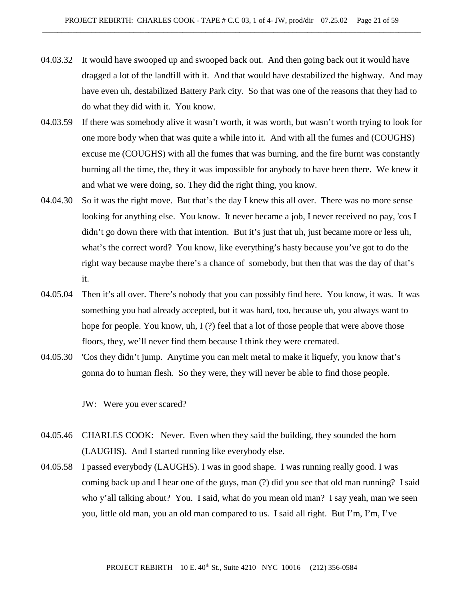- 04.03.32 It would have swooped up and swooped back out. And then going back out it would have dragged a lot of the landfill with it. And that would have destabilized the highway. And may have even uh, destabilized Battery Park city. So that was one of the reasons that they had to do what they did with it. You know.
- 04.03.59 If there was somebody alive it wasn't worth, it was worth, but wasn't worth trying to look for one more body when that was quite a while into it. And with all the fumes and (COUGHS) excuse me (COUGHS) with all the fumes that was burning, and the fire burnt was constantly burning all the time, the, they it was impossible for anybody to have been there. We knew it and what we were doing, so. They did the right thing, you know.
- 04.04.30 So it was the right move. But that's the day I knew this all over. There was no more sense looking for anything else. You know. It never became a job, I never received no pay, 'cos I didn't go down there with that intention. But it's just that uh, just became more or less uh, what's the correct word? You know, like everything's hasty because you've got to do the right way because maybe there's a chance of somebody, but then that was the day of that's it.
- 04.05.04 Then it's all over. There's nobody that you can possibly find here. You know, it was. It was something you had already accepted, but it was hard, too, because uh, you always want to hope for people. You know, uh, I(?) feel that a lot of those people that were above those floors, they, we'll never find them because I think they were cremated.
- 04.05.30 'Cos they didn't jump. Anytime you can melt metal to make it liquefy, you know that's gonna do to human flesh. So they were, they will never be able to find those people.

JW: Were you ever scared?

- 04.05.46 CHARLES COOK: Never. Even when they said the building, they sounded the horn (LAUGHS). And I started running like everybody else.
- 04.05.58 I passed everybody (LAUGHS). I was in good shape. I was running really good. I was coming back up and I hear one of the guys, man (?) did you see that old man running? I said who y'all talking about? You. I said, what do you mean old man? I say yeah, man we seen you, little old man, you an old man compared to us. I said all right. But I'm, I'm, I've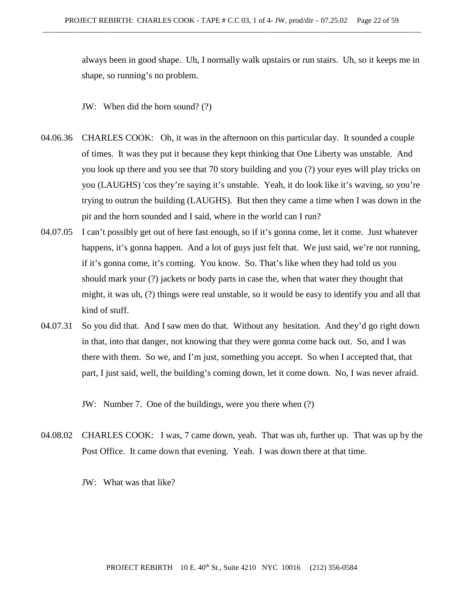always been in good shape. Uh, I normally walk upstairs or run stairs. Uh, so it keeps me in shape, so running's no problem.

JW: When did the horn sound? (?)

- 04.06.36 CHARLES COOK: Oh, it was in the afternoon on this particular day. It sounded a couple of times. It was they put it because they kept thinking that One Liberty was unstable. And you look up there and you see that 70 story building and you (?) your eyes will play tricks on you (LAUGHS) 'cos they're saying it's unstable. Yeah, it do look like it's waving, so you're trying to outrun the building (LAUGHS). But then they came a time when I was down in the pit and the horn sounded and I said, where in the world can I run?
- 04.07.05 I can't possibly get out of here fast enough, so if it's gonna come, let it come. Just whatever happens, it's gonna happen. And a lot of guys just felt that. We just said, we're not running, if it's gonna come, it's coming. You know. So. That's like when they had told us you should mark your (?) jackets or body parts in case the, when that water they thought that might, it was uh, (?) things were real unstable, so it would be easy to identify you and all that kind of stuff.
- 04.07.31 So you did that. And I saw men do that. Without any hesitation. And they'd go right down in that, into that danger, not knowing that they were gonna come back out. So, and I was there with them. So we, and I'm just, something you accept. So when I accepted that, that part, I just said, well, the building's coming down, let it come down. No, I was never afraid.

JW: Number 7. One of the buildings, were you there when (?)

- 04.08.02 CHARLES COOK: I was, 7 came down, yeah. That was uh, further up. That was up by the Post Office. It came down that evening. Yeah. I was down there at that time.
	- JW: What was that like?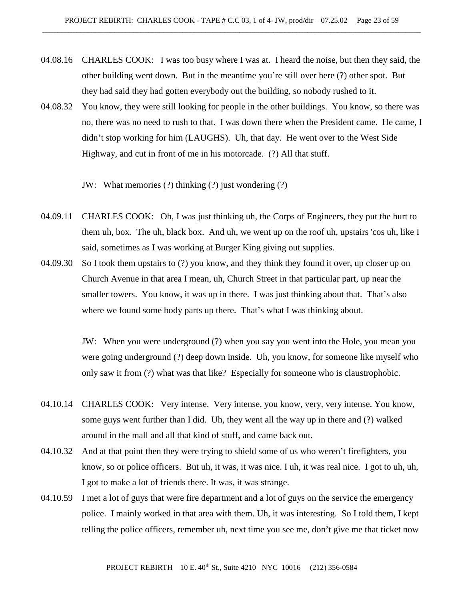- 04.08.16 CHARLES COOK: I was too busy where I was at. I heard the noise, but then they said, the other building went down. But in the meantime you're still over here (?) other spot. But they had said they had gotten everybody out the building, so nobody rushed to it.
- 04.08.32 You know, they were still looking for people in the other buildings. You know, so there was no, there was no need to rush to that. I was down there when the President came. He came, I didn't stop working for him (LAUGHS). Uh, that day. He went over to the West Side Highway, and cut in front of me in his motorcade. (?) All that stuff.
	- JW: What memories (?) thinking (?) just wondering (?)
- 04.09.11 CHARLES COOK: Oh, I was just thinking uh, the Corps of Engineers, they put the hurt to them uh, box. The uh, black box. And uh, we went up on the roof uh, upstairs 'cos uh, like I said, sometimes as I was working at Burger King giving out supplies.
- 04.09.30 So I took them upstairs to (?) you know, and they think they found it over, up closer up on Church Avenue in that area I mean, uh, Church Street in that particular part, up near the smaller towers. You know, it was up in there. I was just thinking about that. That's also where we found some body parts up there. That's what I was thinking about.

JW: When you were underground (?) when you say you went into the Hole, you mean you were going underground (?) deep down inside. Uh, you know, for someone like myself who only saw it from (?) what was that like? Especially for someone who is claustrophobic.

- 04.10.14 CHARLES COOK: Very intense. Very intense, you know, very, very intense. You know, some guys went further than I did. Uh, they went all the way up in there and (?) walked around in the mall and all that kind of stuff, and came back out.
- 04.10.32 And at that point then they were trying to shield some of us who weren't firefighters, you know, so or police officers. But uh, it was, it was nice. I uh, it was real nice. I got to uh, uh, I got to make a lot of friends there. It was, it was strange.
- 04.10.59 I met a lot of guys that were fire department and a lot of guys on the service the emergency police. I mainly worked in that area with them. Uh, it was interesting. So I told them, I kept telling the police officers, remember uh, next time you see me, don't give me that ticket now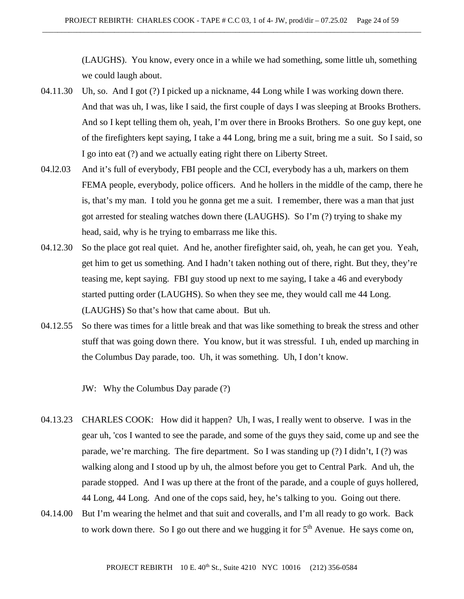(LAUGHS). You know, every once in a while we had something, some little uh, something we could laugh about.

- 04.11.30 Uh, so. And I got (?) I picked up a nickname, 44 Long while I was working down there. And that was uh, I was, like I said, the first couple of days I was sleeping at Brooks Brothers. And so I kept telling them oh, yeah, I'm over there in Brooks Brothers. So one guy kept, one of the firefighters kept saying, I take a 44 Long, bring me a suit, bring me a suit. So I said, so I go into eat (?) and we actually eating right there on Liberty Street.
- 04.l2.03 And it's full of everybody, FBI people and the CCI, everybody has a uh, markers on them FEMA people, everybody, police officers. And he hollers in the middle of the camp, there he is, that's my man. I told you he gonna get me a suit. I remember, there was a man that just got arrested for stealing watches down there (LAUGHS). So I'm (?) trying to shake my head, said, why is he trying to embarrass me like this.
- 04.12.30 So the place got real quiet. And he, another firefighter said, oh, yeah, he can get you. Yeah, get him to get us something. And I hadn't taken nothing out of there, right. But they, they're teasing me, kept saying. FBI guy stood up next to me saying, I take a 46 and everybody started putting order (LAUGHS). So when they see me, they would call me 44 Long. (LAUGHS) So that's how that came about. But uh.
- 04.12.55 So there was times for a little break and that was like something to break the stress and other stuff that was going down there. You know, but it was stressful. I uh, ended up marching in the Columbus Day parade, too. Uh, it was something. Uh, I don't know.

JW: Why the Columbus Day parade (?)

- 04.13.23 CHARLES COOK: How did it happen? Uh, I was, I really went to observe. I was in the gear uh, 'cos I wanted to see the parade, and some of the guys they said, come up and see the parade, we're marching. The fire department. So I was standing up (?) I didn't, I (?) was walking along and I stood up by uh, the almost before you get to Central Park. And uh, the parade stopped. And I was up there at the front of the parade, and a couple of guys hollered, 44 Long, 44 Long. And one of the cops said, hey, he's talking to you. Going out there.
- 04.14.00 But I'm wearing the helmet and that suit and coveralls, and I'm all ready to go work. Back to work down there. So I go out there and we hugging it for  $5<sup>th</sup>$  Avenue. He says come on,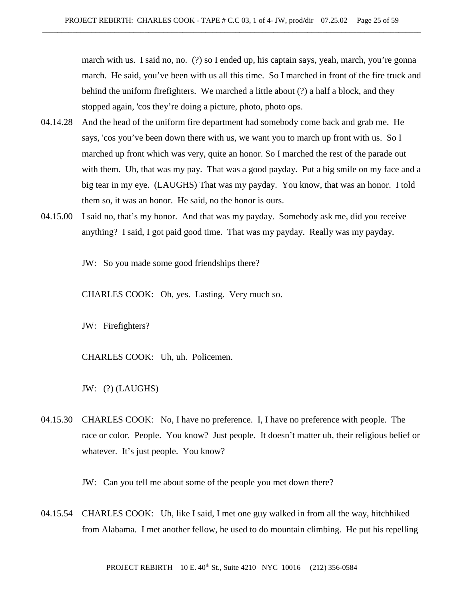march with us. I said no, no. (?) so I ended up, his captain says, yeah, march, you're gonna march. He said, you've been with us all this time. So I marched in front of the fire truck and behind the uniform firefighters. We marched a little about (?) a half a block, and they stopped again, 'cos they're doing a picture, photo, photo ops.

- 04.14.28 And the head of the uniform fire department had somebody come back and grab me. He says, 'cos you've been down there with us, we want you to march up front with us. So I marched up front which was very, quite an honor. So I marched the rest of the parade out with them. Uh, that was my pay. That was a good payday. Put a big smile on my face and a big tear in my eye. (LAUGHS) That was my payday. You know, that was an honor. I told them so, it was an honor. He said, no the honor is ours.
- 04.15.00 I said no, that's my honor. And that was my payday. Somebody ask me, did you receive anything? I said, I got paid good time. That was my payday. Really was my payday.

JW: So you made some good friendships there?

CHARLES COOK: Oh, yes. Lasting. Very much so.

JW: Firefighters?

CHARLES COOK: Uh, uh. Policemen.

JW: (?) (LAUGHS)

04.15.30 CHARLES COOK: No, I have no preference. I, I have no preference with people. The race or color. People. You know? Just people. It doesn't matter uh, their religious belief or whatever. It's just people. You know?

JW: Can you tell me about some of the people you met down there?

04.15.54 CHARLES COOK: Uh, like I said, I met one guy walked in from all the way, hitchhiked from Alabama. I met another fellow, he used to do mountain climbing. He put his repelling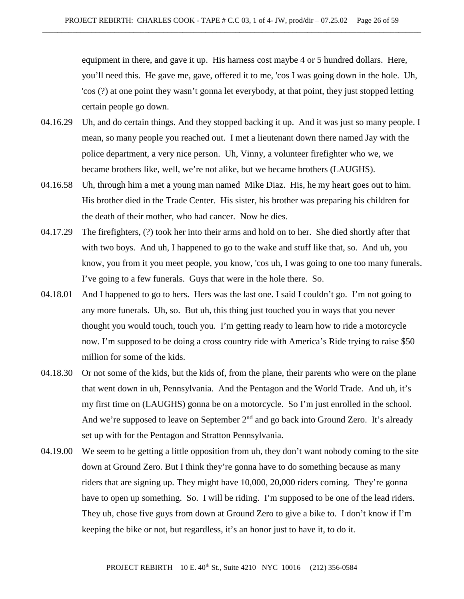equipment in there, and gave it up. His harness cost maybe 4 or 5 hundred dollars. Here, you'll need this. He gave me, gave, offered it to me, 'cos I was going down in the hole. Uh, 'cos (?) at one point they wasn't gonna let everybody, at that point, they just stopped letting certain people go down.

- 04.16.29 Uh, and do certain things. And they stopped backing it up. And it was just so many people. I mean, so many people you reached out. I met a lieutenant down there named Jay with the police department, a very nice person. Uh, Vinny, a volunteer firefighter who we, we became brothers like, well, we're not alike, but we became brothers (LAUGHS).
- 04.16.58 Uh, through him a met a young man named Mike Diaz. His, he my heart goes out to him. His brother died in the Trade Center. His sister, his brother was preparing his children for the death of their mother, who had cancer. Now he dies.
- 04.17.29 The firefighters, (?) took her into their arms and hold on to her. She died shortly after that with two boys. And uh, I happened to go to the wake and stuff like that, so. And uh, you know, you from it you meet people, you know, 'cos uh, I was going to one too many funerals. I've going to a few funerals. Guys that were in the hole there. So.
- 04.18.01 And I happened to go to hers. Hers was the last one. I said I couldn't go. I'm not going to any more funerals. Uh, so. But uh, this thing just touched you in ways that you never thought you would touch, touch you. I'm getting ready to learn how to ride a motorcycle now. I'm supposed to be doing a cross country ride with America's Ride trying to raise \$50 million for some of the kids.
- 04.18.30 Or not some of the kids, but the kids of, from the plane, their parents who were on the plane that went down in uh, Pennsylvania. And the Pentagon and the World Trade. And uh, it's my first time on (LAUGHS) gonna be on a motorcycle. So I'm just enrolled in the school. And we're supposed to leave on September  $2<sup>nd</sup>$  and go back into Ground Zero. It's already set up with for the Pentagon and Stratton Pennsylvania.
- 04.19.00 We seem to be getting a little opposition from uh, they don't want nobody coming to the site down at Ground Zero. But I think they're gonna have to do something because as many riders that are signing up. They might have 10,000, 20,000 riders coming. They're gonna have to open up something. So. I will be riding. I'm supposed to be one of the lead riders. They uh, chose five guys from down at Ground Zero to give a bike to. I don't know if I'm keeping the bike or not, but regardless, it's an honor just to have it, to do it.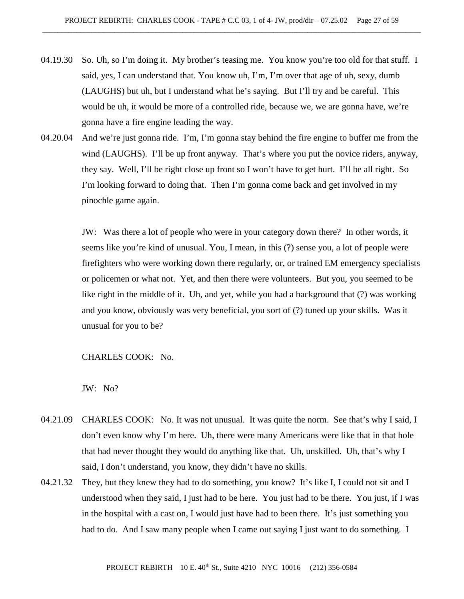- 04.19.30 So. Uh, so I'm doing it. My brother's teasing me. You know you're too old for that stuff. I said, yes, I can understand that. You know uh, I'm, I'm over that age of uh, sexy, dumb (LAUGHS) but uh, but I understand what he's saying. But I'll try and be careful. This would be uh, it would be more of a controlled ride, because we, we are gonna have, we're gonna have a fire engine leading the way.
- 04.20.04 And we're just gonna ride. I'm, I'm gonna stay behind the fire engine to buffer me from the wind (LAUGHS). I'll be up front anyway. That's where you put the novice riders, anyway, they say. Well, I'll be right close up front so I won't have to get hurt. I'll be all right. So I'm looking forward to doing that. Then I'm gonna come back and get involved in my pinochle game again.

JW: Was there a lot of people who were in your category down there? In other words, it seems like you're kind of unusual. You, I mean, in this (?) sense you, a lot of people were firefighters who were working down there regularly, or, or trained EM emergency specialists or policemen or what not. Yet, and then there were volunteers. But you, you seemed to be like right in the middle of it. Uh, and yet, while you had a background that (?) was working and you know, obviously was very beneficial, you sort of (?) tuned up your skills. Was it unusual for you to be?

### CHARLES COOK: No.

JW: No?

- 04.21.09 CHARLES COOK: No. It was not unusual. It was quite the norm. See that's why I said, I don't even know why I'm here. Uh, there were many Americans were like that in that hole that had never thought they would do anything like that. Uh, unskilled. Uh, that's why I said, I don't understand, you know, they didn't have no skills.
- 04.21.32 They, but they knew they had to do something, you know? It's like I, I could not sit and I understood when they said, I just had to be here. You just had to be there. You just, if I was in the hospital with a cast on, I would just have had to been there. It's just something you had to do. And I saw many people when I came out saying I just want to do something. I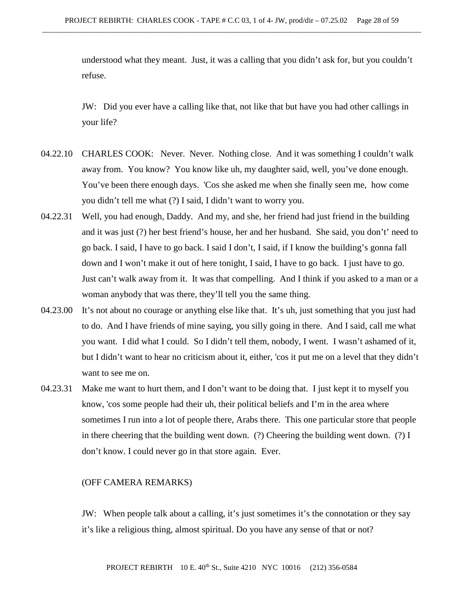understood what they meant. Just, it was a calling that you didn't ask for, but you couldn't refuse.

JW: Did you ever have a calling like that, not like that but have you had other callings in your life?

- 04.22.10 CHARLES COOK: Never. Never. Nothing close. And it was something I couldn't walk away from. You know? You know like uh, my daughter said, well, you've done enough. You've been there enough days. 'Cos she asked me when she finally seen me, how come you didn't tell me what (?) I said, I didn't want to worry you.
- 04.22.31 Well, you had enough, Daddy. And my, and she, her friend had just friend in the building and it was just (?) her best friend's house, her and her husband. She said, you don't' need to go back. I said, I have to go back. I said I don't, I said, if I know the building's gonna fall down and I won't make it out of here tonight, I said, I have to go back. I just have to go. Just can't walk away from it. It was that compelling. And I think if you asked to a man or a woman anybody that was there, they'll tell you the same thing.
- 04.23.00 It's not about no courage or anything else like that. It's uh, just something that you just had to do. And I have friends of mine saying, you silly going in there. And I said, call me what you want. I did what I could. So I didn't tell them, nobody, I went. I wasn't ashamed of it, but I didn't want to hear no criticism about it, either, 'cos it put me on a level that they didn't want to see me on.
- 04.23.31 Make me want to hurt them, and I don't want to be doing that. I just kept it to myself you know, 'cos some people had their uh, their political beliefs and I'm in the area where sometimes I run into a lot of people there, Arabs there. This one particular store that people in there cheering that the building went down. (?) Cheering the building went down. (?) I don't know. I could never go in that store again. Ever.

## (OFF CAMERA REMARKS)

JW: When people talk about a calling, it's just sometimes it's the connotation or they say it's like a religious thing, almost spiritual. Do you have any sense of that or not?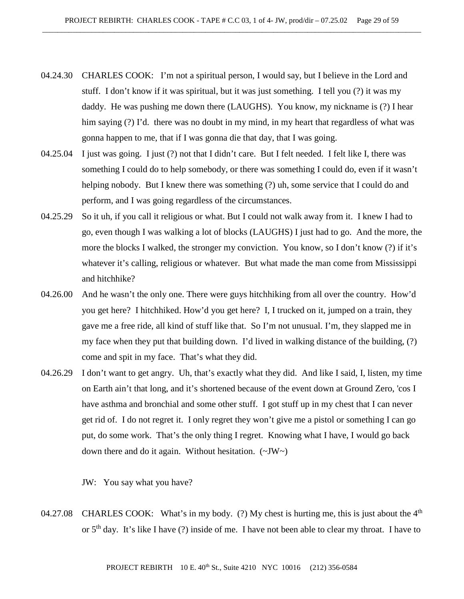- 04.24.30 CHARLES COOK: I'm not a spiritual person, I would say, but I believe in the Lord and stuff. I don't know if it was spiritual, but it was just something. I tell you (?) it was my daddy. He was pushing me down there (LAUGHS). You know, my nickname is (?) I hear him saying (?) I'd. there was no doubt in my mind, in my heart that regardless of what was gonna happen to me, that if I was gonna die that day, that I was going.
- 04.25.04 I just was going. I just (?) not that I didn't care. But I felt needed. I felt like I, there was something I could do to help somebody, or there was something I could do, even if it wasn't helping nobody. But I knew there was something (?) uh, some service that I could do and perform, and I was going regardless of the circumstances.
- 04.25.29 So it uh, if you call it religious or what. But I could not walk away from it. I knew I had to go, even though I was walking a lot of blocks (LAUGHS) I just had to go. And the more, the more the blocks I walked, the stronger my conviction. You know, so I don't know (?) if it's whatever it's calling, religious or whatever. But what made the man come from Mississippi and hitchhike?
- 04.26.00 And he wasn't the only one. There were guys hitchhiking from all over the country. How'd you get here? I hitchhiked. How'd you get here? I, I trucked on it, jumped on a train, they gave me a free ride, all kind of stuff like that. So I'm not unusual. I'm, they slapped me in my face when they put that building down. I'd lived in walking distance of the building, (?) come and spit in my face. That's what they did.
- 04.26.29 I don't want to get angry. Uh, that's exactly what they did. And like I said, I, listen, my time on Earth ain't that long, and it's shortened because of the event down at Ground Zero, 'cos I have asthma and bronchial and some other stuff. I got stuff up in my chest that I can never get rid of. I do not regret it. I only regret they won't give me a pistol or something I can go put, do some work. That's the only thing I regret. Knowing what I have, I would go back down there and do it again. Without hesitation.  $(\sim JW)$

JW: You say what you have?

04.27.08 CHARLES COOK: What's in my body. (?) My chest is hurting me, this is just about the  $4<sup>th</sup>$ or 5th day. It's like I have (?) inside of me. I have not been able to clear my throat. I have to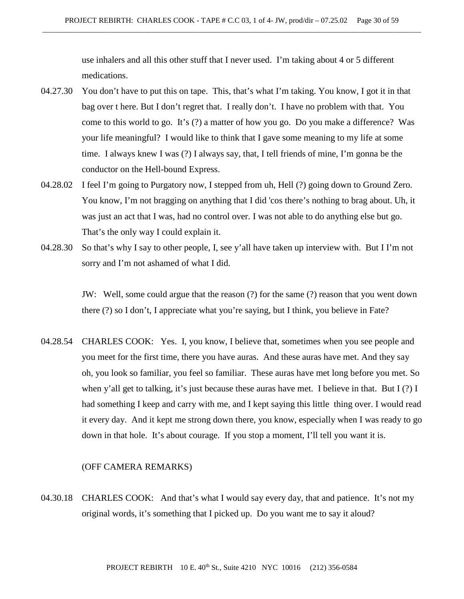use inhalers and all this other stuff that I never used. I'm taking about 4 or 5 different medications.

- 04.27.30 You don't have to put this on tape. This, that's what I'm taking. You know, I got it in that bag over t here. But I don't regret that. I really don't. I have no problem with that. You come to this world to go. It's (?) a matter of how you go. Do you make a difference? Was your life meaningful? I would like to think that I gave some meaning to my life at some time. I always knew I was (?) I always say, that, I tell friends of mine, I'm gonna be the conductor on the Hell-bound Express.
- 04.28.02 I feel I'm going to Purgatory now, I stepped from uh, Hell (?) going down to Ground Zero. You know, I'm not bragging on anything that I did 'cos there's nothing to brag about. Uh, it was just an act that I was, had no control over. I was not able to do anything else but go. That's the only way I could explain it.
- 04.28.30 So that's why I say to other people, I, see y'all have taken up interview with. But I I'm not sorry and I'm not ashamed of what I did.

JW: Well, some could argue that the reason (?) for the same (?) reason that you went down there (?) so I don't, I appreciate what you're saying, but I think, you believe in Fate?

04.28.54 CHARLES COOK: Yes. I, you know, I believe that, sometimes when you see people and you meet for the first time, there you have auras. And these auras have met. And they say oh, you look so familiar, you feel so familiar. These auras have met long before you met. So when y'all get to talking, it's just because these auras have met. I believe in that. But I (?) I had something I keep and carry with me, and I kept saying this little thing over. I would read it every day. And it kept me strong down there, you know, especially when I was ready to go down in that hole. It's about courage. If you stop a moment, I'll tell you want it is.

### (OFF CAMERA REMARKS)

04.30.18 CHARLES COOK: And that's what I would say every day, that and patience. It's not my original words, it's something that I picked up. Do you want me to say it aloud?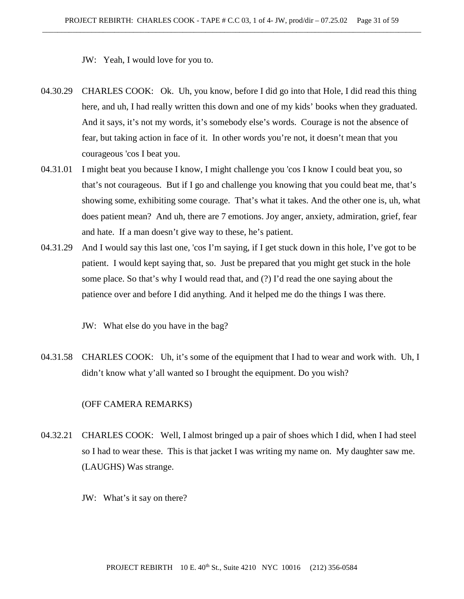JW: Yeah, I would love for you to.

- 04.30.29 CHARLES COOK: Ok. Uh, you know, before I did go into that Hole, I did read this thing here, and uh, I had really written this down and one of my kids' books when they graduated. And it says, it's not my words, it's somebody else's words. Courage is not the absence of fear, but taking action in face of it. In other words you're not, it doesn't mean that you courageous 'cos I beat you.
- 04.31.01 I might beat you because I know, I might challenge you 'cos I know I could beat you, so that's not courageous. But if I go and challenge you knowing that you could beat me, that's showing some, exhibiting some courage. That's what it takes. And the other one is, uh, what does patient mean? And uh, there are 7 emotions. Joy anger, anxiety, admiration, grief, fear and hate. If a man doesn't give way to these, he's patient.
- 04.31.29 And I would say this last one, 'cos I'm saying, if I get stuck down in this hole, I've got to be patient. I would kept saying that, so. Just be prepared that you might get stuck in the hole some place. So that's why I would read that, and (?) I'd read the one saying about the patience over and before I did anything. And it helped me do the things I was there.

JW: What else do you have in the bag?

04.31.58 CHARLES COOK: Uh, it's some of the equipment that I had to wear and work with. Uh, I didn't know what y'all wanted so I brought the equipment. Do you wish?

### (OFF CAMERA REMARKS)

- 04.32.21 CHARLES COOK: Well, I almost bringed up a pair of shoes which I did, when I had steel so I had to wear these. This is that jacket I was writing my name on. My daughter saw me. (LAUGHS) Was strange.
	- JW: What's it say on there?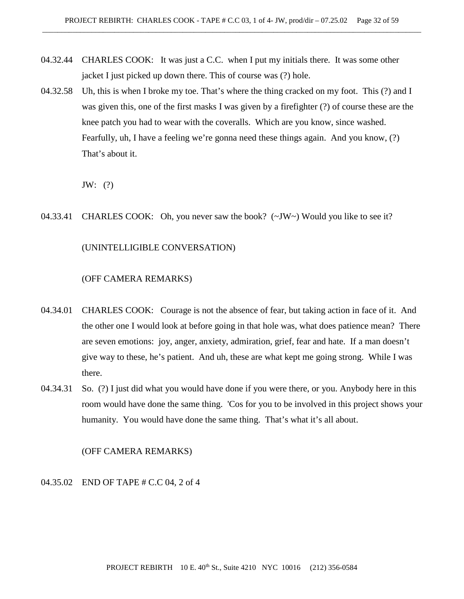- 04.32.44 CHARLES COOK: It was just a C.C. when I put my initials there. It was some other jacket I just picked up down there. This of course was (?) hole.
- 04.32.58 Uh, this is when I broke my toe. That's where the thing cracked on my foot. This (?) and I was given this, one of the first masks I was given by a firefighter (?) of course these are the knee patch you had to wear with the coveralls. Which are you know, since washed. Fearfully, uh, I have a feeling we're gonna need these things again. And you know, (?) That's about it.

JW: (?)

04.33.41 CHARLES COOK: Oh, you never saw the book?  $(\sim JW \sim)$  Would you like to see it?

# (UNINTELLIGIBLE CONVERSATION)

## (OFF CAMERA REMARKS)

- 04.34.01 CHARLES COOK: Courage is not the absence of fear, but taking action in face of it. And the other one I would look at before going in that hole was, what does patience mean? There are seven emotions: joy, anger, anxiety, admiration, grief, fear and hate. If a man doesn't give way to these, he's patient. And uh, these are what kept me going strong. While I was there.
- 04.34.31 So. (?) I just did what you would have done if you were there, or you. Anybody here in this room would have done the same thing. 'Cos for you to be involved in this project shows your humanity. You would have done the same thing. That's what it's all about.

(OFF CAMERA REMARKS)

04.35.02 END OF TAPE # C.C 04, 2 of 4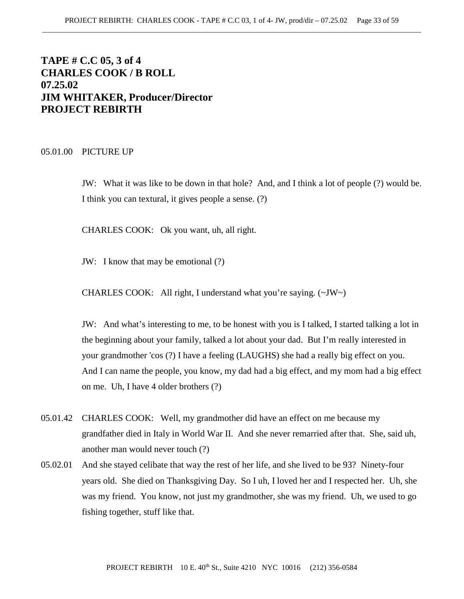# **TAPE # C.C 05, 3 of 4 CHARLES COOK / B ROLL 07.25.02 JIM WHITAKER, Producer/Director PROJECT REBIRTH**

#### 05.01.00 PICTURE UP

JW: What it was like to be down in that hole? And, and I think a lot of people (?) would be. I think you can textural, it gives people a sense. (?)

CHARLES COOK: Ok you want, uh, all right.

JW: I know that may be emotional (?)

CHARLES COOK: All right, I understand what you're saying.  $(\sim JW \sim)$ 

JW: And what's interesting to me, to be honest with you is I talked, I started talking a lot in the beginning about your family, talked a lot about your dad. But I'm really interested in your grandmother 'cos (?) I have a feeling (LAUGHS) she had a really big effect on you. And I can name the people, you know, my dad had a big effect, and my mom had a big effect on me. Uh, I have 4 older brothers (?)

- 05.01.42 CHARLES COOK: Well, my grandmother did have an effect on me because my grandfather died in Italy in World War II. And she never remarried after that. She, said uh, another man would never touch (?)
- 05.02.01 And she stayed celibate that way the rest of her life, and she lived to be 93? Ninety-four years old. She died on Thanksgiving Day. So I uh, I loved her and I respected her. Uh, she was my friend. You know, not just my grandmother, she was my friend. Uh, we used to go fishing together, stuff like that.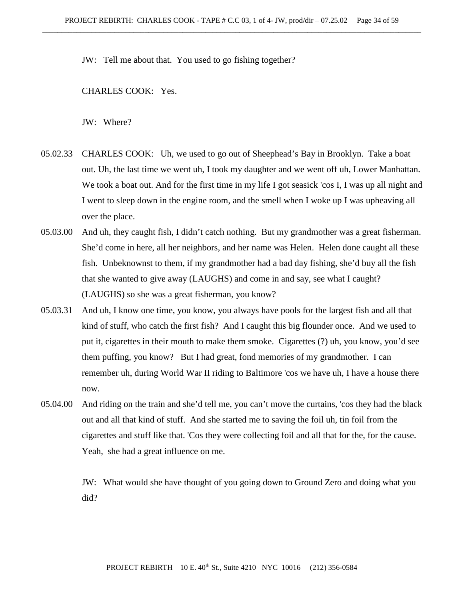JW: Tell me about that. You used to go fishing together?

CHARLES COOK: Yes.

JW: Where?

- 05.02.33 CHARLES COOK: Uh, we used to go out of Sheephead's Bay in Brooklyn. Take a boat out. Uh, the last time we went uh, I took my daughter and we went off uh, Lower Manhattan. We took a boat out. And for the first time in my life I got seasick 'cos I, I was up all night and I went to sleep down in the engine room, and the smell when I woke up I was upheaving all over the place.
- 05.03.00 And uh, they caught fish, I didn't catch nothing. But my grandmother was a great fisherman. She'd come in here, all her neighbors, and her name was Helen. Helen done caught all these fish. Unbeknownst to them, if my grandmother had a bad day fishing, she'd buy all the fish that she wanted to give away (LAUGHS) and come in and say, see what I caught? (LAUGHS) so she was a great fisherman, you know?
- 05.03.31 And uh, I know one time, you know, you always have pools for the largest fish and all that kind of stuff, who catch the first fish? And I caught this big flounder once. And we used to put it, cigarettes in their mouth to make them smoke. Cigarettes (?) uh, you know, you'd see them puffing, you know? But I had great, fond memories of my grandmother. I can remember uh, during World War II riding to Baltimore 'cos we have uh, I have a house there now.
- 05.04.00 And riding on the train and she'd tell me, you can't move the curtains, 'cos they had the black out and all that kind of stuff. And she started me to saving the foil uh, tin foil from the cigarettes and stuff like that. 'Cos they were collecting foil and all that for the, for the cause. Yeah, she had a great influence on me.

JW: What would she have thought of you going down to Ground Zero and doing what you did?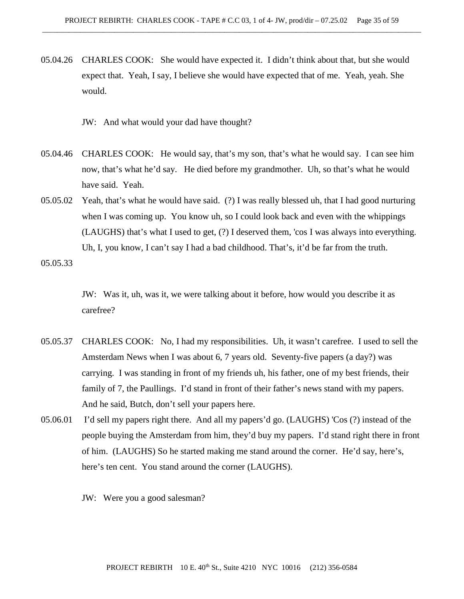05.04.26 CHARLES COOK: She would have expected it. I didn't think about that, but she would expect that. Yeah, I say, I believe she would have expected that of me. Yeah, yeah. She would.

JW: And what would your dad have thought?

- 05.04.46 CHARLES COOK: He would say, that's my son, that's what he would say. I can see him now, that's what he'd say. He died before my grandmother. Uh, so that's what he would have said. Yeah.
- 05.05.02 Yeah, that's what he would have said. (?) I was really blessed uh, that I had good nurturing when I was coming up. You know uh, so I could look back and even with the whippings (LAUGHS) that's what I used to get, (?) I deserved them, 'cos I was always into everything. Uh, I, you know, I can't say I had a bad childhood. That's, it'd be far from the truth.

05.05.33

JW: Was it, uh, was it, we were talking about it before, how would you describe it as carefree?

- 05.05.37 CHARLES COOK: No, I had my responsibilities. Uh, it wasn't carefree. I used to sell the Amsterdam News when I was about 6, 7 years old. Seventy-five papers (a day?) was carrying. I was standing in front of my friends uh, his father, one of my best friends, their family of 7, the Paullings. I'd stand in front of their father's news stand with my papers. And he said, Butch, don't sell your papers here.
- 05.06.01 I'd sell my papers right there. And all my papers'd go. (LAUGHS) 'Cos (?) instead of the people buying the Amsterdam from him, they'd buy my papers. I'd stand right there in front of him. (LAUGHS) So he started making me stand around the corner. He'd say, here's, here's ten cent. You stand around the corner (LAUGHS).
	- JW: Were you a good salesman?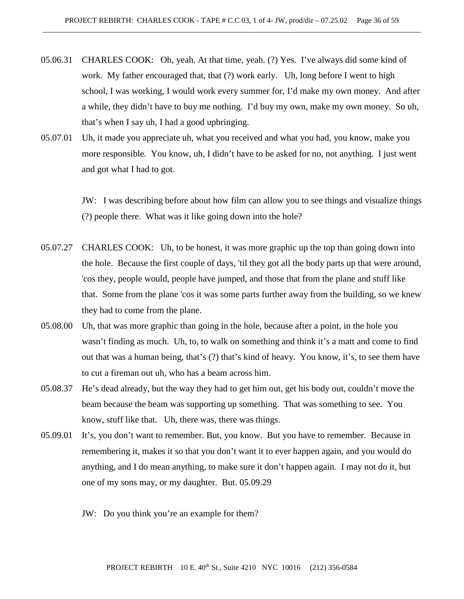- 05.06.31 CHARLES COOK: Oh, yeah. At that time, yeah. (?) Yes. I've always did some kind of work. My father encouraged that, that (?) work early. Uh, long before I went to high school, I was working, I would work every summer for, I'd make my own money. And after a while, they didn't have to buy me nothing. I'd buy my own, make my own money. So uh, that's when I say uh, I had a good upbringing.
- 05.07.01 Uh, it made you appreciate uh, what you received and what you had, you know, make you more responsible. You know, uh, I didn't have to be asked for no, not anything. I just went and got what I had to got.

JW: I was describing before about how film can allow you to see things and visualize things (?) people there. What was it like going down into the hole?

- 05.07.27 CHARLES COOK: Uh, to be honest, it was more graphic up the top than going down into the hole. Because the first couple of days, 'til they got all the body parts up that were around, 'cos they, people would, people have jumped, and those that from the plane and stuff like that. Some from the plane 'cos it was some parts further away from the building, so we knew they had to come from the plane.
- 05.08.00 Uh, that was more graphic than going in the hole, because after a point, in the hole you wasn't finding as much. Uh, to, to walk on something and think it's a matt and come to find out that was a human being, that's (?) that's kind of heavy. You know, it's, to see them have to cut a fireman out uh, who has a beam across him.
- 05.08.37 He's dead already, but the way they had to get him out, get his body out, couldn't move the beam because the beam was supporting up something. That was something to see. You know, stuff like that. Uh, there was, there was things.
- 05.09.01 It's, you don't want to remember. But, you know. But you have to remember. Because in remembering it, makes it so that you don't want it to ever happen again, and you would do anything, and I do mean anything, to make sure it don't happen again. I may not do it, but one of my sons may, or my daughter. But. 05.09.29
	- JW: Do you think you're an example for them?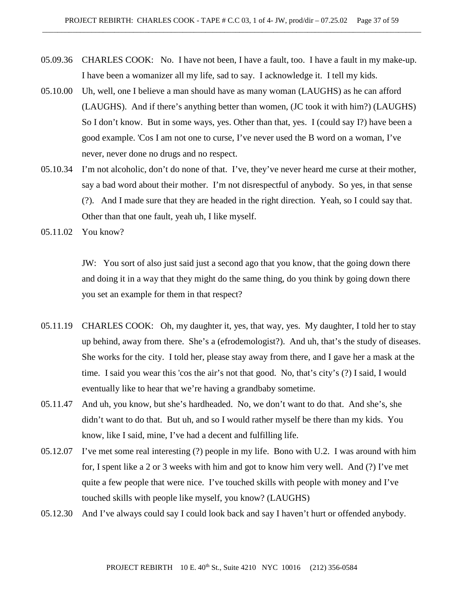- 05.09.36 CHARLES COOK: No. I have not been, I have a fault, too. I have a fault in my make-up. I have been a womanizer all my life, sad to say. I acknowledge it. I tell my kids.
- 05.10.00 Uh, well, one I believe a man should have as many woman (LAUGHS) as he can afford (LAUGHS). And if there's anything better than women, (JC took it with him?) (LAUGHS) So I don't know. But in some ways, yes. Other than that, yes. I (could say I?) have been a good example. 'Cos I am not one to curse, I've never used the B word on a woman, I've never, never done no drugs and no respect.
- 05.10.34 I'm not alcoholic, don't do none of that. I've, they've never heard me curse at their mother, say a bad word about their mother. I'm not disrespectful of anybody. So yes, in that sense (?). And I made sure that they are headed in the right direction. Yeah, so I could say that. Other than that one fault, yeah uh, I like myself.
- 05.11.02 You know?

JW: You sort of also just said just a second ago that you know, that the going down there and doing it in a way that they might do the same thing, do you think by going down there you set an example for them in that respect?

- 05.11.19 CHARLES COOK: Oh, my daughter it, yes, that way, yes. My daughter, I told her to stay up behind, away from there. She's a (efrodemologist?). And uh, that's the study of diseases. She works for the city. I told her, please stay away from there, and I gave her a mask at the time. I said you wear this 'cos the air's not that good. No, that's city's (?) I said, I would eventually like to hear that we're having a grandbaby sometime.
- 05.11.47 And uh, you know, but she's hardheaded. No, we don't want to do that. And she's, she didn't want to do that. But uh, and so I would rather myself be there than my kids. You know, like I said, mine, I've had a decent and fulfilling life.
- 05.12.07 I've met some real interesting (?) people in my life. Bono with U.2. I was around with him for, I spent like a 2 or 3 weeks with him and got to know him very well. And (?) I've met quite a few people that were nice. I've touched skills with people with money and I've touched skills with people like myself, you know? (LAUGHS)
- 05.12.30 And I've always could say I could look back and say I haven't hurt or offended anybody.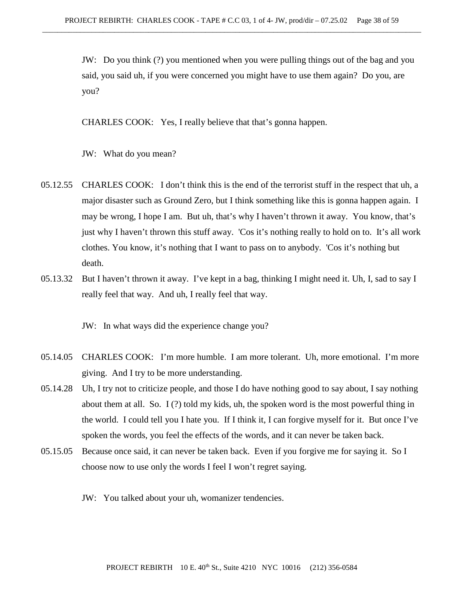JW: Do you think (?) you mentioned when you were pulling things out of the bag and you said, you said uh, if you were concerned you might have to use them again? Do you, are you?

CHARLES COOK: Yes, I really believe that that's gonna happen.

JW: What do you mean?

- 05.12.55 CHARLES COOK: I don't think this is the end of the terrorist stuff in the respect that uh, a major disaster such as Ground Zero, but I think something like this is gonna happen again. I may be wrong, I hope I am. But uh, that's why I haven't thrown it away. You know, that's just why I haven't thrown this stuff away. 'Cos it's nothing really to hold on to. It's all work clothes. You know, it's nothing that I want to pass on to anybody. 'Cos it's nothing but death.
- 05.13.32 But I haven't thrown it away. I've kept in a bag, thinking I might need it. Uh, I, sad to say I really feel that way. And uh, I really feel that way.

JW: In what ways did the experience change you?

- 05.14.05 CHARLES COOK: I'm more humble. I am more tolerant. Uh, more emotional. I'm more giving. And I try to be more understanding.
- 05.14.28 Uh, I try not to criticize people, and those I do have nothing good to say about, I say nothing about them at all. So. I (?) told my kids, uh, the spoken word is the most powerful thing in the world. I could tell you I hate you. If I think it, I can forgive myself for it. But once I've spoken the words, you feel the effects of the words, and it can never be taken back.
- 05.15.05 Because once said, it can never be taken back. Even if you forgive me for saying it. So I choose now to use only the words I feel I won't regret saying.
	- JW: You talked about your uh, womanizer tendencies.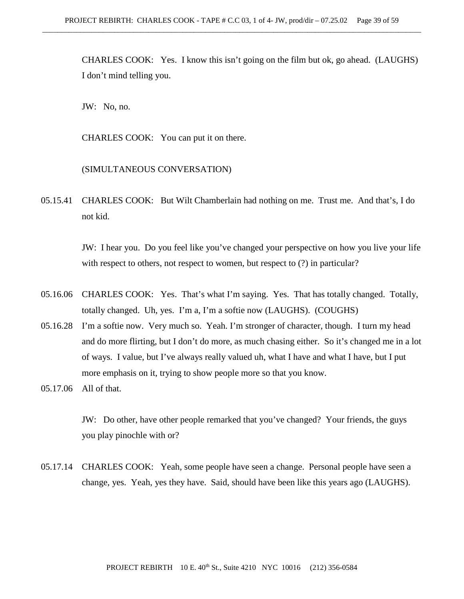CHARLES COOK: Yes. I know this isn't going on the film but ok, go ahead. (LAUGHS) I don't mind telling you.

JW: No, no.

CHARLES COOK: You can put it on there.

(SIMULTANEOUS CONVERSATION)

05.15.41 CHARLES COOK: But Wilt Chamberlain had nothing on me. Trust me. And that's, I do not kid.

> JW: I hear you. Do you feel like you've changed your perspective on how you live your life with respect to others, not respect to women, but respect to  $(?)$  in particular?

- 05.16.06 CHARLES COOK: Yes. That's what I'm saying. Yes. That has totally changed. Totally, totally changed. Uh, yes. I'm a, I'm a softie now (LAUGHS). (COUGHS)
- 05.16.28 I'm a softie now. Very much so. Yeah. I'm stronger of character, though. I turn my head and do more flirting, but I don't do more, as much chasing either. So it's changed me in a lot of ways. I value, but I've always really valued uh, what I have and what I have, but I put more emphasis on it, trying to show people more so that you know.

JW: Do other, have other people remarked that you've changed? Your friends, the guys you play pinochle with or?

05.17.14 CHARLES COOK: Yeah, some people have seen a change. Personal people have seen a change, yes. Yeah, yes they have. Said, should have been like this years ago (LAUGHS).

<sup>05.17.06</sup> All of that.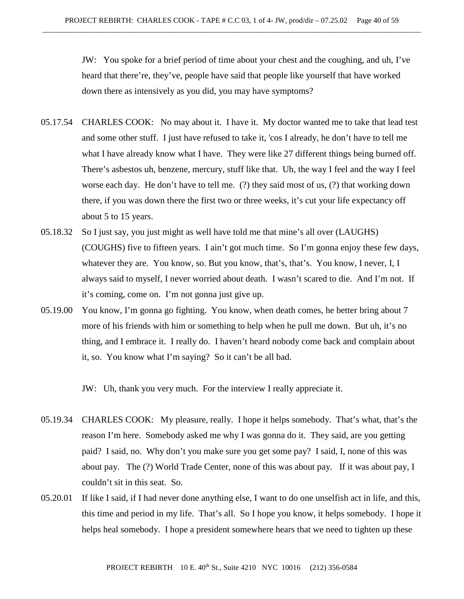JW: You spoke for a brief period of time about your chest and the coughing, and uh, I've heard that there're, they've, people have said that people like yourself that have worked down there as intensively as you did, you may have symptoms?

- 05.17.54 CHARLES COOK: No may about it. I have it. My doctor wanted me to take that lead test and some other stuff. I just have refused to take it, 'cos I already, he don't have to tell me what I have already know what I have. They were like 27 different things being burned off. There's asbestos uh, benzene, mercury, stuff like that. Uh, the way I feel and the way I feel worse each day. He don't have to tell me. (?) they said most of us, (?) that working down there, if you was down there the first two or three weeks, it's cut your life expectancy off about 5 to 15 years.
- 05.18.32 So I just say, you just might as well have told me that mine's all over (LAUGHS) (COUGHS) five to fifteen years. I ain't got much time. So I'm gonna enjoy these few days, whatever they are. You know, so. But you know, that's, that's. You know, I never, I, I always said to myself, I never worried about death. I wasn't scared to die. And I'm not. If it's coming, come on. I'm not gonna just give up.
- 05.19.00 You know, I'm gonna go fighting. You know, when death comes, he better bring about 7 more of his friends with him or something to help when he pull me down. But uh, it's no thing, and I embrace it. I really do. I haven't heard nobody come back and complain about it, so. You know what I'm saying? So it can't be all bad.

JW: Uh, thank you very much. For the interview I really appreciate it.

- 05.19.34 CHARLES COOK: My pleasure, really. I hope it helps somebody. That's what, that's the reason I'm here. Somebody asked me why I was gonna do it. They said, are you getting paid? I said, no. Why don't you make sure you get some pay? I said, I, none of this was about pay. The (?) World Trade Center, none of this was about pay. If it was about pay, I couldn't sit in this seat. So.
- 05.20.01 If like I said, if I had never done anything else, I want to do one unselfish act in life, and this, this time and period in my life. That's all. So I hope you know, it helps somebody. I hope it helps heal somebody. I hope a president somewhere hears that we need to tighten up these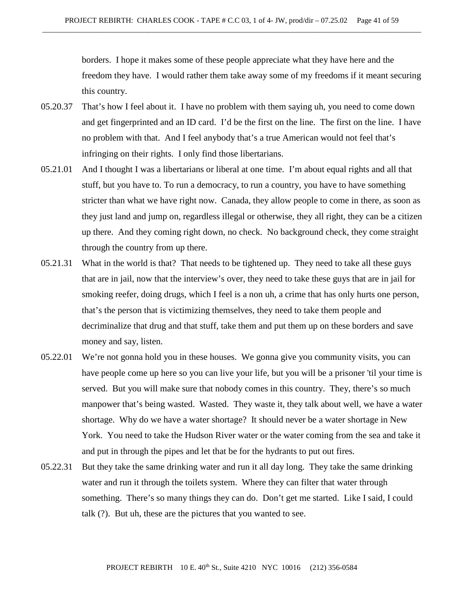borders. I hope it makes some of these people appreciate what they have here and the freedom they have. I would rather them take away some of my freedoms if it meant securing this country.

- 05.20.37 That's how I feel about it. I have no problem with them saying uh, you need to come down and get fingerprinted and an ID card. I'd be the first on the line. The first on the line. I have no problem with that. And I feel anybody that's a true American would not feel that's infringing on their rights. I only find those libertarians.
- 05.21.01 And I thought I was a libertarians or liberal at one time. I'm about equal rights and all that stuff, but you have to. To run a democracy, to run a country, you have to have something stricter than what we have right now. Canada, they allow people to come in there, as soon as they just land and jump on, regardless illegal or otherwise, they all right, they can be a citizen up there. And they coming right down, no check. No background check, they come straight through the country from up there.
- 05.21.31 What in the world is that? That needs to be tightened up. They need to take all these guys that are in jail, now that the interview's over, they need to take these guys that are in jail for smoking reefer, doing drugs, which I feel is a non uh, a crime that has only hurts one person, that's the person that is victimizing themselves, they need to take them people and decriminalize that drug and that stuff, take them and put them up on these borders and save money and say, listen.
- 05.22.01 We're not gonna hold you in these houses. We gonna give you community visits, you can have people come up here so you can live your life, but you will be a prisoner 'til your time is served. But you will make sure that nobody comes in this country. They, there's so much manpower that's being wasted. Wasted. They waste it, they talk about well, we have a water shortage. Why do we have a water shortage? It should never be a water shortage in New York. You need to take the Hudson River water or the water coming from the sea and take it and put in through the pipes and let that be for the hydrants to put out fires.
- 05.22.31 But they take the same drinking water and run it all day long. They take the same drinking water and run it through the toilets system. Where they can filter that water through something. There's so many things they can do. Don't get me started. Like I said, I could talk (?). But uh, these are the pictures that you wanted to see.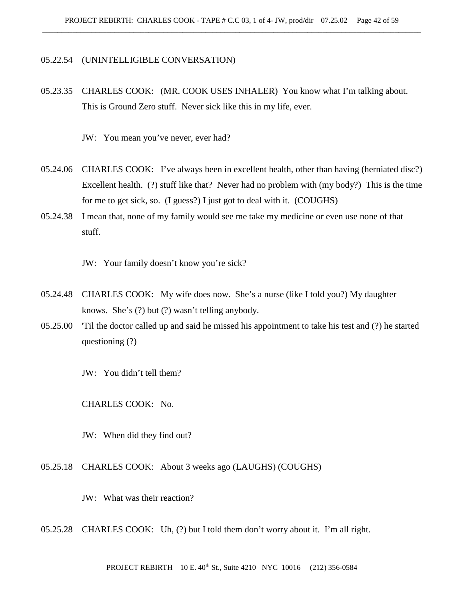### 05.22.54 (UNINTELLIGIBLE CONVERSATION)

05.23.35 CHARLES COOK: (MR. COOK USES INHALER) You know what I'm talking about. This is Ground Zero stuff. Never sick like this in my life, ever.

JW: You mean you've never, ever had?

- 05.24.06 CHARLES COOK: I've always been in excellent health, other than having (herniated disc?) Excellent health. (?) stuff like that? Never had no problem with (my body?) This is the time for me to get sick, so. (I guess?) I just got to deal with it. (COUGHS)
- 05.24.38 I mean that, none of my family would see me take my medicine or even use none of that stuff.

JW: Your family doesn't know you're sick?

- 05.24.48 CHARLES COOK: My wife does now. She's a nurse (like I told you?) My daughter knows. She's (?) but (?) wasn't telling anybody.
- 05.25.00 'Til the doctor called up and said he missed his appointment to take his test and (?) he started questioning (?)

JW: You didn't tell them?

CHARLES COOK: No.

JW: When did they find out?

05.25.18 CHARLES COOK: About 3 weeks ago (LAUGHS) (COUGHS)

JW: What was their reaction?

05.25.28 CHARLES COOK: Uh, (?) but I told them don't worry about it. I'm all right.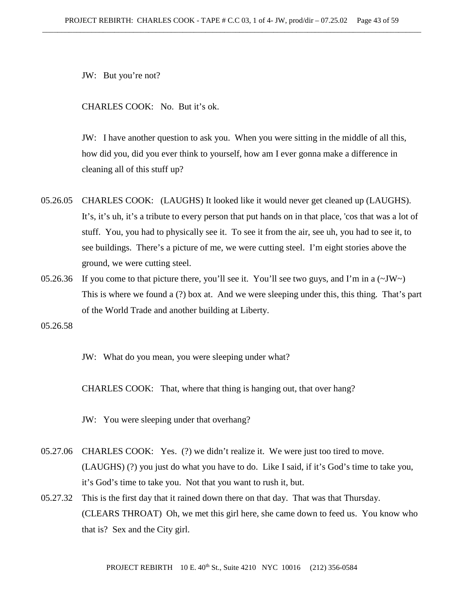JW: But you're not?

CHARLES COOK: No. But it's ok.

JW: I have another question to ask you. When you were sitting in the middle of all this, how did you, did you ever think to yourself, how am I ever gonna make a difference in cleaning all of this stuff up?

- 05.26.05 CHARLES COOK: (LAUGHS) It looked like it would never get cleaned up (LAUGHS). It's, it's uh, it's a tribute to every person that put hands on in that place, 'cos that was a lot of stuff. You, you had to physically see it. To see it from the air, see uh, you had to see it, to see buildings. There's a picture of me, we were cutting steel. I'm eight stories above the ground, we were cutting steel.
- 05.26.36 If you come to that picture there, you'll see it. You'll see two guys, and I'm in a  $(\sim JW)$ This is where we found a (?) box at. And we were sleeping under this, this thing. That's part of the World Trade and another building at Liberty.

05.26.58

JW: What do you mean, you were sleeping under what?

CHARLES COOK: That, where that thing is hanging out, that over hang?

JW: You were sleeping under that overhang?

- 05.27.06 CHARLES COOK: Yes. (?) we didn't realize it. We were just too tired to move. (LAUGHS) (?) you just do what you have to do. Like I said, if it's God's time to take you, it's God's time to take you. Not that you want to rush it, but.
- 05.27.32 This is the first day that it rained down there on that day. That was that Thursday. (CLEARS THROAT) Oh, we met this girl here, she came down to feed us. You know who that is? Sex and the City girl.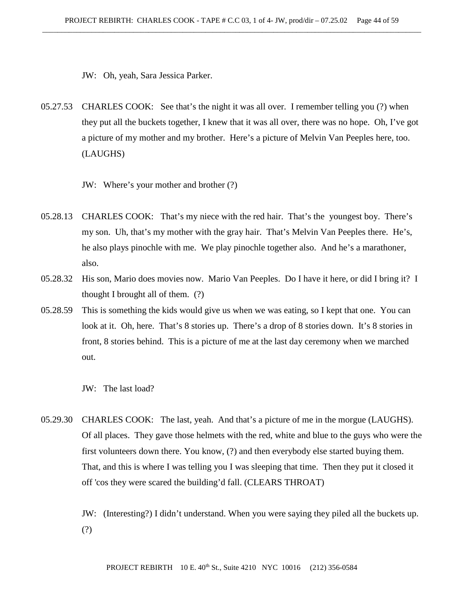JW: Oh, yeah, Sara Jessica Parker.

05.27.53 CHARLES COOK: See that's the night it was all over. I remember telling you (?) when they put all the buckets together, I knew that it was all over, there was no hope. Oh, I've got a picture of my mother and my brother. Here's a picture of Melvin Van Peeples here, too. (LAUGHS)

JW: Where's your mother and brother (?)

- 05.28.13 CHARLES COOK: That's my niece with the red hair. That's the youngest boy. There's my son. Uh, that's my mother with the gray hair. That's Melvin Van Peeples there. He's, he also plays pinochle with me. We play pinochle together also. And he's a marathoner, also.
- 05.28.32 His son, Mario does movies now. Mario Van Peeples. Do I have it here, or did I bring it? I thought I brought all of them. (?)
- 05.28.59 This is something the kids would give us when we was eating, so I kept that one. You can look at it. Oh, here. That's 8 stories up. There's a drop of 8 stories down. It's 8 stories in front, 8 stories behind. This is a picture of me at the last day ceremony when we marched out.

JW: The last load?

05.29.30 CHARLES COOK: The last, yeah. And that's a picture of me in the morgue (LAUGHS). Of all places. They gave those helmets with the red, white and blue to the guys who were the first volunteers down there. You know, (?) and then everybody else started buying them. That, and this is where I was telling you I was sleeping that time. Then they put it closed it off 'cos they were scared the building'd fall. (CLEARS THROAT)

> JW: (Interesting?) I didn't understand. When you were saying they piled all the buckets up. (?)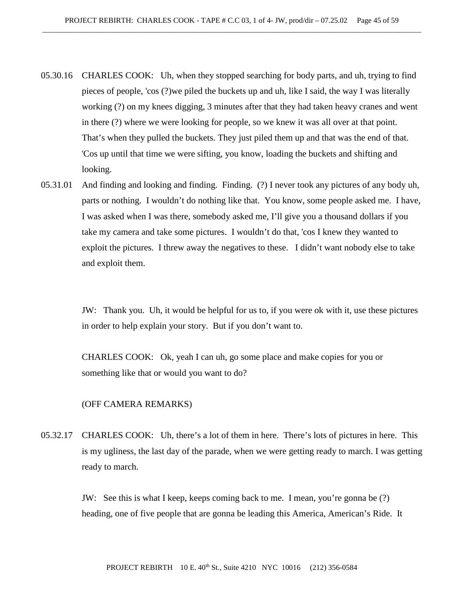- 05.30.16 CHARLES COOK: Uh, when they stopped searching for body parts, and uh, trying to find pieces of people, 'cos (?)we piled the buckets up and uh, like I said, the way I was literally working (?) on my knees digging, 3 minutes after that they had taken heavy cranes and went in there (?) where we were looking for people, so we knew it was all over at that point. That's when they pulled the buckets. They just piled them up and that was the end of that. 'Cos up until that time we were sifting, you know, loading the buckets and shifting and looking.
- 05.31.01 And finding and looking and finding. Finding. (?) I never took any pictures of any body uh, parts or nothing. I wouldn't do nothing like that. You know, some people asked me. I have, I was asked when I was there, somebody asked me, I'll give you a thousand dollars if you take my camera and take some pictures. I wouldn't do that, 'cos I knew they wanted to exploit the pictures. I threw away the negatives to these. I didn't want nobody else to take and exploit them.

JW: Thank you. Uh, it would be helpful for us to, if you were ok with it, use these pictures in order to help explain your story. But if you don't want to.

CHARLES COOK: Ok, yeah I can uh, go some place and make copies for you or something like that or would you want to do?

#### (OFF CAMERA REMARKS)

05.32.17 CHARLES COOK: Uh, there's a lot of them in here. There's lots of pictures in here. This is my ugliness, the last day of the parade, when we were getting ready to march. I was getting ready to march.

> JW: See this is what I keep, keeps coming back to me. I mean, you're gonna be (?) heading, one of five people that are gonna be leading this America, American's Ride. It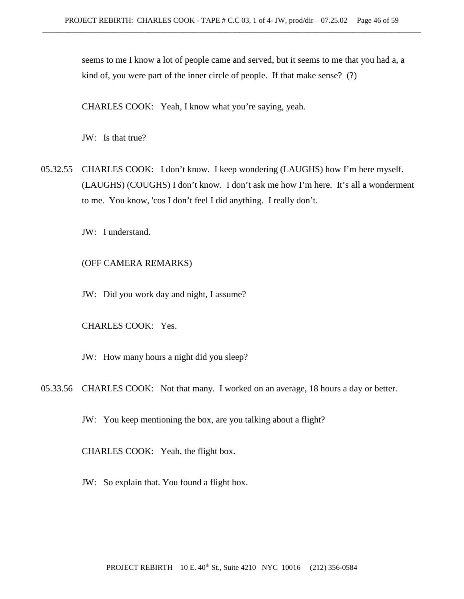seems to me I know a lot of people came and served, but it seems to me that you had a, a kind of, you were part of the inner circle of people. If that make sense? (?)

CHARLES COOK: Yeah, I know what you're saying, yeah.

JW: Is that true?

05.32.55 CHARLES COOK: I don't know. I keep wondering (LAUGHS) how I'm here myself. (LAUGHS) (COUGHS) I don't know. I don't ask me how I'm here. It's all a wonderment to me. You know, 'cos I don't feel I did anything. I really don't.

JW: I understand.

## (OFF CAMERA REMARKS)

JW: Did you work day and night, I assume?

CHARLES COOK: Yes.

JW: How many hours a night did you sleep?

05.33.56 CHARLES COOK: Not that many. I worked on an average, 18 hours a day or better.

JW: You keep mentioning the box, are you talking about a flight?

CHARLES COOK: Yeah, the flight box.

JW: So explain that. You found a flight box.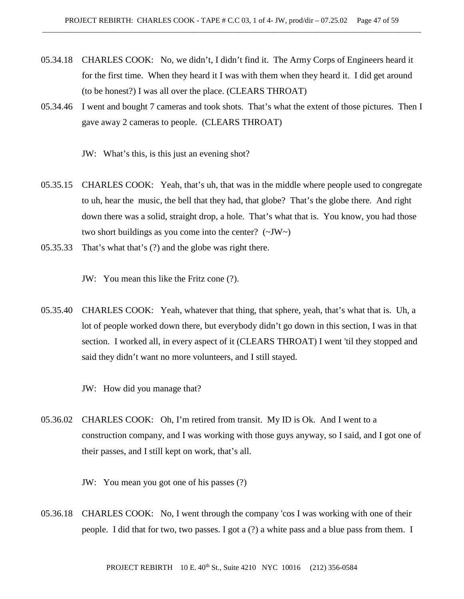- 05.34.18 CHARLES COOK: No, we didn't, I didn't find it. The Army Corps of Engineers heard it for the first time. When they heard it I was with them when they heard it. I did get around (to be honest?) I was all over the place. (CLEARS THROAT)
- 05.34.46 I went and bought 7 cameras and took shots. That's what the extent of those pictures. Then I gave away 2 cameras to people. (CLEARS THROAT)

JW: What's this, is this just an evening shot?

- 05.35.15 CHARLES COOK: Yeah, that's uh, that was in the middle where people used to congregate to uh, hear the music, the bell that they had, that globe? That's the globe there. And right down there was a solid, straight drop, a hole. That's what that is. You know, you had those two short buildings as you come into the center?  $(\sim JW)$
- 05.35.33 That's what that's (?) and the globe was right there.

JW: You mean this like the Fritz cone (?).

05.35.40 CHARLES COOK: Yeah, whatever that thing, that sphere, yeah, that's what that is. Uh, a lot of people worked down there, but everybody didn't go down in this section, I was in that section. I worked all, in every aspect of it (CLEARS THROAT) I went 'til they stopped and said they didn't want no more volunteers, and I still stayed.

JW: How did you manage that?

05.36.02 CHARLES COOK: Oh, I'm retired from transit. My ID is Ok. And I went to a construction company, and I was working with those guys anyway, so I said, and I got one of their passes, and I still kept on work, that's all.

JW: You mean you got one of his passes (?)

05.36.18 CHARLES COOK: No, I went through the company 'cos I was working with one of their people. I did that for two, two passes. I got a (?) a white pass and a blue pass from them. I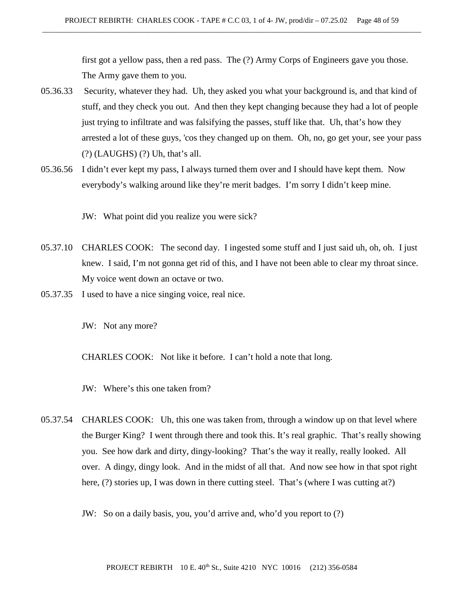first got a yellow pass, then a red pass. The (?) Army Corps of Engineers gave you those. The Army gave them to you.

- 05.36.33 Security, whatever they had. Uh, they asked you what your background is, and that kind of stuff, and they check you out. And then they kept changing because they had a lot of people just trying to infiltrate and was falsifying the passes, stuff like that. Uh, that's how they arrested a lot of these guys, 'cos they changed up on them. Oh, no, go get your, see your pass (?) (LAUGHS) (?) Uh, that's all.
- 05.36.56 I didn't ever kept my pass, I always turned them over and I should have kept them. Now everybody's walking around like they're merit badges. I'm sorry I didn't keep mine.

JW: What point did you realize you were sick?

- 05.37.10 CHARLES COOK: The second day. I ingested some stuff and I just said uh, oh, oh. I just knew. I said, I'm not gonna get rid of this, and I have not been able to clear my throat since. My voice went down an octave or two.
- 05.37.35 I used to have a nice singing voice, real nice.

JW: Not any more?

CHARLES COOK: Not like it before. I can't hold a note that long.

JW: Where's this one taken from?

- 05.37.54 CHARLES COOK: Uh, this one was taken from, through a window up on that level where the Burger King? I went through there and took this. It's real graphic. That's really showing you. See how dark and dirty, dingy-looking? That's the way it really, really looked. All over. A dingy, dingy look. And in the midst of all that. And now see how in that spot right here, (?) stories up, I was down in there cutting steel. That's (where I was cutting at?)
	- JW: So on a daily basis, you, you'd arrive and, who'd you report to (?)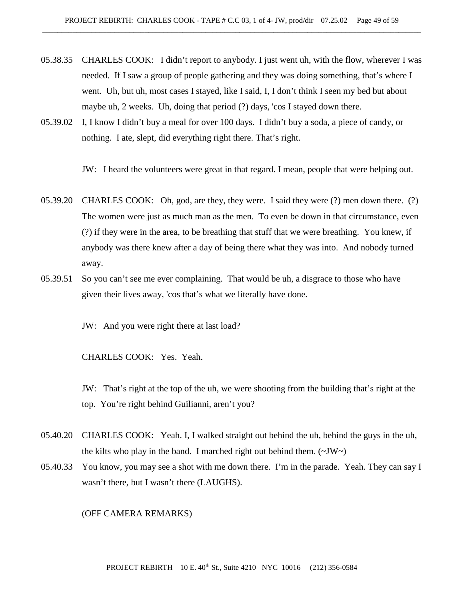- 05.38.35 CHARLES COOK: I didn't report to anybody. I just went uh, with the flow, wherever I was needed. If I saw a group of people gathering and they was doing something, that's where I went. Uh, but uh, most cases I stayed, like I said, I, I don't think I seen my bed but about maybe uh, 2 weeks. Uh, doing that period (?) days, 'cos I stayed down there.
- 05.39.02 I, I know I didn't buy a meal for over 100 days. I didn't buy a soda, a piece of candy, or nothing. I ate, slept, did everything right there. That's right.

JW: I heard the volunteers were great in that regard. I mean, people that were helping out.

- 05.39.20 CHARLES COOK: Oh, god, are they, they were. I said they were (?) men down there. (?) The women were just as much man as the men. To even be down in that circumstance, even (?) if they were in the area, to be breathing that stuff that we were breathing. You knew, if anybody was there knew after a day of being there what they was into. And nobody turned away.
- 05.39.51 So you can't see me ever complaining. That would be uh, a disgrace to those who have given their lives away, 'cos that's what we literally have done.

JW: And you were right there at last load?

CHARLES COOK: Yes. Yeah.

JW: That's right at the top of the uh, we were shooting from the building that's right at the top. You're right behind Guilianni, aren't you?

- 05.40.20 CHARLES COOK: Yeah. I, I walked straight out behind the uh, behind the guys in the uh, the kilts who play in the band. I marched right out behind them.  $(\sim JW \sim)$
- 05.40.33 You know, you may see a shot with me down there. I'm in the parade. Yeah. They can say I wasn't there, but I wasn't there (LAUGHS).

(OFF CAMERA REMARKS)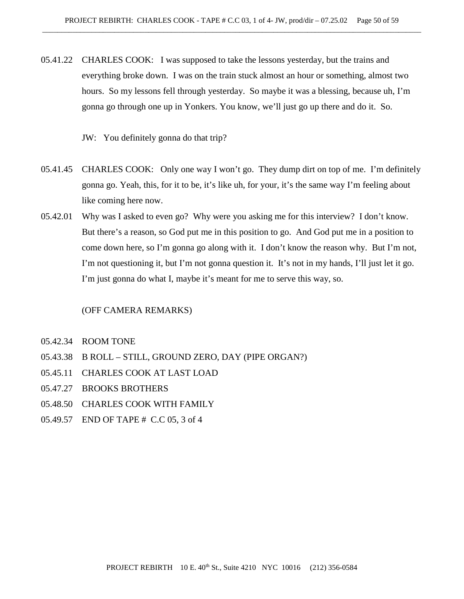- 05.41.22 CHARLES COOK: I was supposed to take the lessons yesterday, but the trains and everything broke down. I was on the train stuck almost an hour or something, almost two hours. So my lessons fell through yesterday. So maybe it was a blessing, because uh, I'm gonna go through one up in Yonkers. You know, we'll just go up there and do it. So.
	- JW: You definitely gonna do that trip?
- 05.41.45 CHARLES COOK: Only one way I won't go. They dump dirt on top of me. I'm definitely gonna go. Yeah, this, for it to be, it's like uh, for your, it's the same way I'm feeling about like coming here now.
- 05.42.01 Why was I asked to even go? Why were you asking me for this interview? I don't know. But there's a reason, so God put me in this position to go. And God put me in a position to come down here, so I'm gonna go along with it. I don't know the reason why. But I'm not, I'm not questioning it, but I'm not gonna question it. It's not in my hands, I'll just let it go. I'm just gonna do what I, maybe it's meant for me to serve this way, so.

#### (OFF CAMERA REMARKS)

- 05.42.34 ROOM TONE
- 05.43.38 B ROLL STILL, GROUND ZERO, DAY (PIPE ORGAN?)
- 05.45.11 CHARLES COOK AT LAST LOAD
- 05.47.27 BROOKS BROTHERS
- 05.48.50 CHARLES COOK WITH FAMILY
- 05.49.57 END OF TAPE # C.C 05, 3 of 4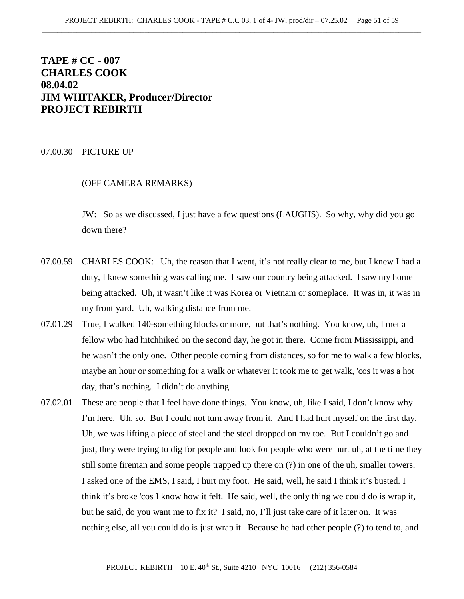# **TAPE # CC - 007 CHARLES COOK 08.04.02 JIM WHITAKER, Producer/Director PROJECT REBIRTH**

#### 07.00.30 PICTURE UP

## (OFF CAMERA REMARKS)

JW: So as we discussed, I just have a few questions (LAUGHS). So why, why did you go down there?

- 07.00.59 CHARLES COOK: Uh, the reason that I went, it's not really clear to me, but I knew I had a duty, I knew something was calling me. I saw our country being attacked. I saw my home being attacked. Uh, it wasn't like it was Korea or Vietnam or someplace. It was in, it was in my front yard. Uh, walking distance from me.
- 07.01.29 True, I walked 140-something blocks or more, but that's nothing. You know, uh, I met a fellow who had hitchhiked on the second day, he got in there. Come from Mississippi, and he wasn't the only one. Other people coming from distances, so for me to walk a few blocks, maybe an hour or something for a walk or whatever it took me to get walk, 'cos it was a hot day, that's nothing. I didn't do anything.
- 07.02.01 These are people that I feel have done things. You know, uh, like I said, I don't know why I'm here. Uh, so. But I could not turn away from it. And I had hurt myself on the first day. Uh, we was lifting a piece of steel and the steel dropped on my toe. But I couldn't go and just, they were trying to dig for people and look for people who were hurt uh, at the time they still some fireman and some people trapped up there on (?) in one of the uh, smaller towers. I asked one of the EMS, I said, I hurt my foot. He said, well, he said I think it's busted. I think it's broke 'cos I know how it felt. He said, well, the only thing we could do is wrap it, but he said, do you want me to fix it? I said, no, I'll just take care of it later on. It was nothing else, all you could do is just wrap it. Because he had other people (?) to tend to, and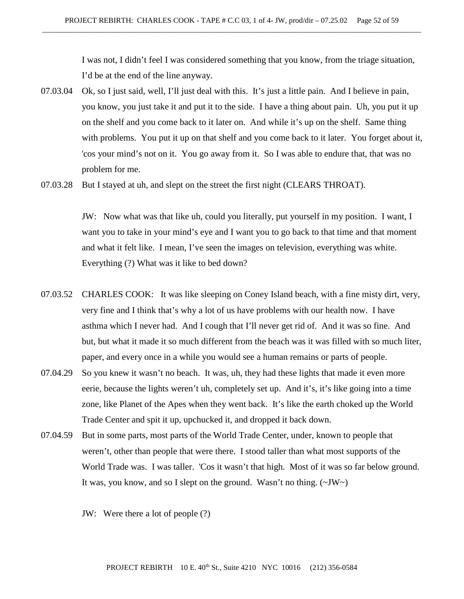I was not, I didn't feel I was considered something that you know, from the triage situation, I'd be at the end of the line anyway.

- 07.03.04 Ok, so I just said, well, I'll just deal with this. It's just a little pain. And I believe in pain, you know, you just take it and put it to the side. I have a thing about pain. Uh, you put it up on the shelf and you come back to it later on. And while it's up on the shelf. Same thing with problems. You put it up on that shelf and you come back to it later. You forget about it, 'cos your mind's not on it. You go away from it. So I was able to endure that, that was no problem for me.
- 07.03.28 But I stayed at uh, and slept on the street the first night (CLEARS THROAT).

JW: Now what was that like uh, could you literally, put yourself in my position. I want, I want you to take in your mind's eye and I want you to go back to that time and that moment and what it felt like. I mean, I've seen the images on television, everything was white. Everything (?) What was it like to bed down?

- 07.03.52 CHARLES COOK: It was like sleeping on Coney Island beach, with a fine misty dirt, very, very fine and I think that's why a lot of us have problems with our health now. I have asthma which I never had. And I cough that I'll never get rid of. And it was so fine. And but, but what it made it so much different from the beach was it was filled with so much liter, paper, and every once in a while you would see a human remains or parts of people.
- 07.04.29 So you knew it wasn't no beach. It was, uh, they had these lights that made it even more eerie, because the lights weren't uh, completely set up. And it's, it's like going into a time zone, like Planet of the Apes when they went back. It's like the earth choked up the World Trade Center and spit it up, upchucked it, and dropped it back down.
- 07.04.59 But in some parts, most parts of the World Trade Center, under, known to people that weren't, other than people that were there. I stood taller than what most supports of the World Trade was. I was taller. 'Cos it wasn't that high. Most of it was so far below ground. It was, you know, and so I slept on the ground. Wasn't no thing.  $(\sim JW)$ 
	- JW: Were there a lot of people (?)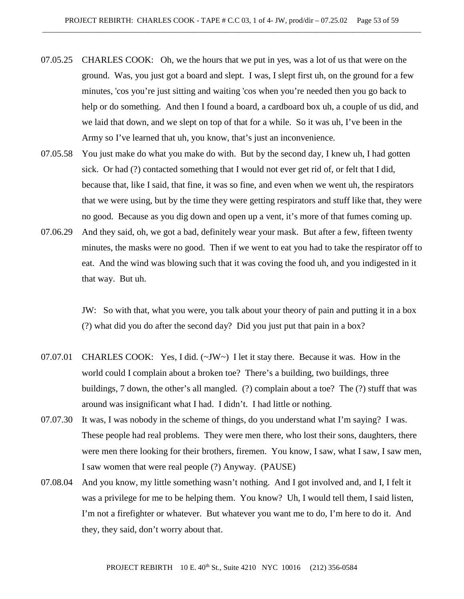- 07.05.25 CHARLES COOK: Oh, we the hours that we put in yes, was a lot of us that were on the ground. Was, you just got a board and slept. I was, I slept first uh, on the ground for a few minutes, 'cos you're just sitting and waiting 'cos when you're needed then you go back to help or do something. And then I found a board, a cardboard box uh, a couple of us did, and we laid that down, and we slept on top of that for a while. So it was uh, I've been in the Army so I've learned that uh, you know, that's just an inconvenience.
- 07.05.58 You just make do what you make do with. But by the second day, I knew uh, I had gotten sick. Or had (?) contacted something that I would not ever get rid of, or felt that I did, because that, like I said, that fine, it was so fine, and even when we went uh, the respirators that we were using, but by the time they were getting respirators and stuff like that, they were no good. Because as you dig down and open up a vent, it's more of that fumes coming up.
- 07.06.29 And they said, oh, we got a bad, definitely wear your mask. But after a few, fifteen twenty minutes, the masks were no good. Then if we went to eat you had to take the respirator off to eat. And the wind was blowing such that it was coving the food uh, and you indigested in it that way. But uh.

JW: So with that, what you were, you talk about your theory of pain and putting it in a box (?) what did you do after the second day? Did you just put that pain in a box?

- 07.07.01 CHARLES COOK: Yes, I did. (~JW~) I let it stay there. Because it was. How in the world could I complain about a broken toe? There's a building, two buildings, three buildings, 7 down, the other's all mangled. (?) complain about a toe? The (?) stuff that was around was insignificant what I had. I didn't. I had little or nothing.
- 07.07.30 It was, I was nobody in the scheme of things, do you understand what I'm saying? I was. These people had real problems. They were men there, who lost their sons, daughters, there were men there looking for their brothers, firemen. You know, I saw, what I saw, I saw men, I saw women that were real people (?) Anyway. (PAUSE)
- 07.08.04 And you know, my little something wasn't nothing. And I got involved and, and I, I felt it was a privilege for me to be helping them. You know? Uh, I would tell them, I said listen, I'm not a firefighter or whatever. But whatever you want me to do, I'm here to do it. And they, they said, don't worry about that.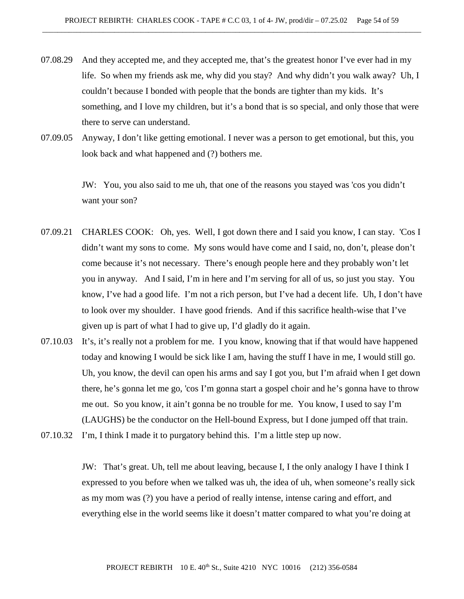- 07.08.29 And they accepted me, and they accepted me, that's the greatest honor I've ever had in my life. So when my friends ask me, why did you stay? And why didn't you walk away? Uh, I couldn't because I bonded with people that the bonds are tighter than my kids. It's something, and I love my children, but it's a bond that is so special, and only those that were there to serve can understand.
- 07.09.05 Anyway, I don't like getting emotional. I never was a person to get emotional, but this, you look back and what happened and (?) bothers me.

JW: You, you also said to me uh, that one of the reasons you stayed was 'cos you didn't want your son?

- 07.09.21 CHARLES COOK: Oh, yes. Well, I got down there and I said you know, I can stay. 'Cos I didn't want my sons to come. My sons would have come and I said, no, don't, please don't come because it's not necessary. There's enough people here and they probably won't let you in anyway. And I said, I'm in here and I'm serving for all of us, so just you stay. You know, I've had a good life. I'm not a rich person, but I've had a decent life. Uh, I don't have to look over my shoulder. I have good friends. And if this sacrifice health-wise that I've given up is part of what I had to give up, I'd gladly do it again.
- 07.10.03 It's, it's really not a problem for me. I you know, knowing that if that would have happened today and knowing I would be sick like I am, having the stuff I have in me, I would still go. Uh, you know, the devil can open his arms and say I got you, but I'm afraid when I get down there, he's gonna let me go, 'cos I'm gonna start a gospel choir and he's gonna have to throw me out. So you know, it ain't gonna be no trouble for me. You know, I used to say I'm (LAUGHS) be the conductor on the Hell-bound Express, but I done jumped off that train.
- 07.10.32 I'm, I think I made it to purgatory behind this. I'm a little step up now.

JW: That's great. Uh, tell me about leaving, because I, I the only analogy I have I think I expressed to you before when we talked was uh, the idea of uh, when someone's really sick as my mom was (?) you have a period of really intense, intense caring and effort, and everything else in the world seems like it doesn't matter compared to what you're doing at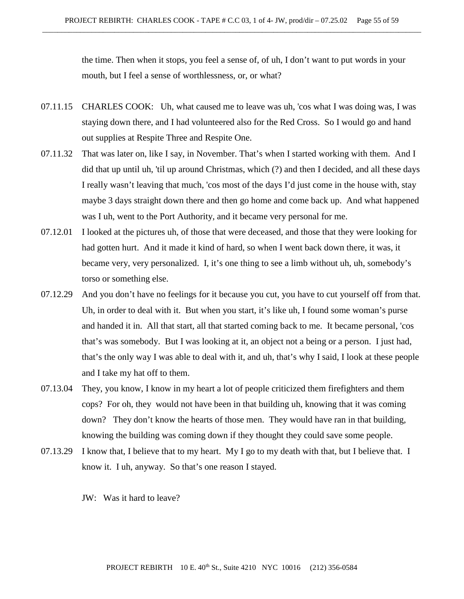the time. Then when it stops, you feel a sense of, of uh, I don't want to put words in your mouth, but I feel a sense of worthlessness, or, or what?

- 07.11.15 CHARLES COOK: Uh, what caused me to leave was uh, 'cos what I was doing was, I was staying down there, and I had volunteered also for the Red Cross. So I would go and hand out supplies at Respite Three and Respite One.
- 07.11.32 That was later on, like I say, in November. That's when I started working with them. And I did that up until uh, 'til up around Christmas, which (?) and then I decided, and all these days I really wasn't leaving that much, 'cos most of the days I'd just come in the house with, stay maybe 3 days straight down there and then go home and come back up. And what happened was I uh, went to the Port Authority, and it became very personal for me.
- 07.12.01 I looked at the pictures uh, of those that were deceased, and those that they were looking for had gotten hurt. And it made it kind of hard, so when I went back down there, it was, it became very, very personalized. I, it's one thing to see a limb without uh, uh, somebody's torso or something else.
- 07.12.29 And you don't have no feelings for it because you cut, you have to cut yourself off from that. Uh, in order to deal with it. But when you start, it's like uh, I found some woman's purse and handed it in. All that start, all that started coming back to me. It became personal, 'cos that's was somebody. But I was looking at it, an object not a being or a person. I just had, that's the only way I was able to deal with it, and uh, that's why I said, I look at these people and I take my hat off to them.
- 07.13.04 They, you know, I know in my heart a lot of people criticized them firefighters and them cops? For oh, they would not have been in that building uh, knowing that it was coming down? They don't know the hearts of those men. They would have ran in that building, knowing the building was coming down if they thought they could save some people.
- 07.13.29 I know that, I believe that to my heart. My I go to my death with that, but I believe that. I know it. I uh, anyway. So that's one reason I stayed.

JW: Was it hard to leave?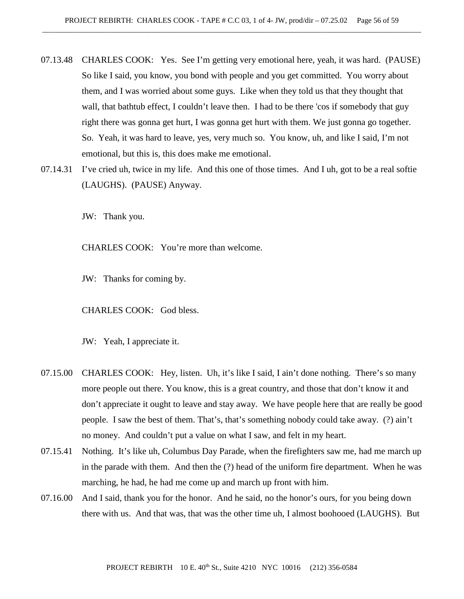- 07.13.48 CHARLES COOK: Yes. See I'm getting very emotional here, yeah, it was hard. (PAUSE) So like I said, you know, you bond with people and you get committed. You worry about them, and I was worried about some guys. Like when they told us that they thought that wall, that bathtub effect, I couldn't leave then. I had to be there 'cos if somebody that guy right there was gonna get hurt, I was gonna get hurt with them. We just gonna go together. So. Yeah, it was hard to leave, yes, very much so. You know, uh, and like I said, I'm not emotional, but this is, this does make me emotional.
- 07.14.31 I've cried uh, twice in my life. And this one of those times. And I uh, got to be a real softie (LAUGHS). (PAUSE) Anyway.

JW: Thank you.

CHARLES COOK: You're more than welcome.

JW: Thanks for coming by.

CHARLES COOK: God bless.

JW: Yeah, I appreciate it.

- 07.15.00 CHARLES COOK: Hey, listen. Uh, it's like I said, I ain't done nothing. There's so many more people out there. You know, this is a great country, and those that don't know it and don't appreciate it ought to leave and stay away. We have people here that are really be good people. I saw the best of them. That's, that's something nobody could take away. (?) ain't no money. And couldn't put a value on what I saw, and felt in my heart.
- 07.15.41 Nothing. It's like uh, Columbus Day Parade, when the firefighters saw me, had me march up in the parade with them. And then the (?) head of the uniform fire department. When he was marching, he had, he had me come up and march up front with him.
- 07.16.00 And I said, thank you for the honor. And he said, no the honor's ours, for you being down there with us. And that was, that was the other time uh, I almost boohooed (LAUGHS). But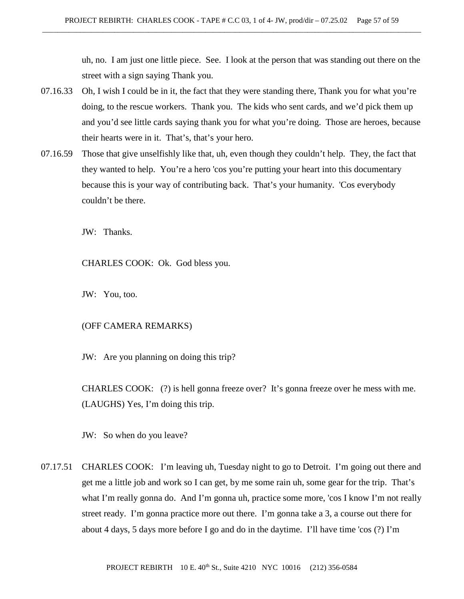uh, no. I am just one little piece. See. I look at the person that was standing out there on the street with a sign saying Thank you.

- 07.16.33 Oh, I wish I could be in it, the fact that they were standing there, Thank you for what you're doing, to the rescue workers. Thank you. The kids who sent cards, and we'd pick them up and you'd see little cards saying thank you for what you're doing. Those are heroes, because their hearts were in it. That's, that's your hero.
- 07.16.59 Those that give unselfishly like that, uh, even though they couldn't help. They, the fact that they wanted to help. You're a hero 'cos you're putting your heart into this documentary because this is your way of contributing back. That's your humanity. 'Cos everybody couldn't be there.

JW: Thanks.

CHARLES COOK: Ok. God bless you.

JW: You, too.

# (OFF CAMERA REMARKS)

JW: Are you planning on doing this trip?

CHARLES COOK: (?) is hell gonna freeze over? It's gonna freeze over he mess with me. (LAUGHS) Yes, I'm doing this trip.

JW: So when do you leave?

07.17.51 CHARLES COOK: I'm leaving uh, Tuesday night to go to Detroit. I'm going out there and get me a little job and work so I can get, by me some rain uh, some gear for the trip. That's what I'm really gonna do. And I'm gonna uh, practice some more, 'cos I know I'm not really street ready. I'm gonna practice more out there. I'm gonna take a 3, a course out there for about 4 days, 5 days more before I go and do in the daytime. I'll have time 'cos (?) I'm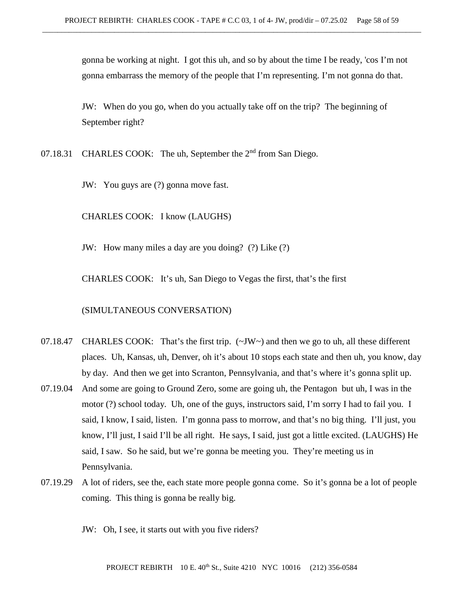gonna be working at night. I got this uh, and so by about the time I be ready, 'cos I'm not gonna embarrass the memory of the people that I'm representing. I'm not gonna do that.

JW: When do you go, when do you actually take off on the trip? The beginning of September right?

07.18.31 CHARLES COOK: The uh, September the 2<sup>nd</sup> from San Diego.

JW: You guys are (?) gonna move fast.

CHARLES COOK: I know (LAUGHS)

JW: How many miles a day are you doing? (?) Like (?)

CHARLES COOK: It's uh, San Diego to Vegas the first, that's the first

#### (SIMULTANEOUS CONVERSATION)

- 07.18.47 CHARLES COOK: That's the first trip.  $(\sim JW)$  and then we go to uh, all these different places. Uh, Kansas, uh, Denver, oh it's about 10 stops each state and then uh, you know, day by day. And then we get into Scranton, Pennsylvania, and that's where it's gonna split up.
- 07.19.04 And some are going to Ground Zero, some are going uh, the Pentagon but uh, I was in the motor (?) school today. Uh, one of the guys, instructors said, I'm sorry I had to fail you. I said, I know, I said, listen. I'm gonna pass to morrow, and that's no big thing. I'll just, you know, I'll just, I said I'll be all right. He says, I said, just got a little excited. (LAUGHS) He said, I saw. So he said, but we're gonna be meeting you. They're meeting us in Pennsylvania.
- 07.19.29 A lot of riders, see the, each state more people gonna come. So it's gonna be a lot of people coming. This thing is gonna be really big.

JW: Oh, I see, it starts out with you five riders?